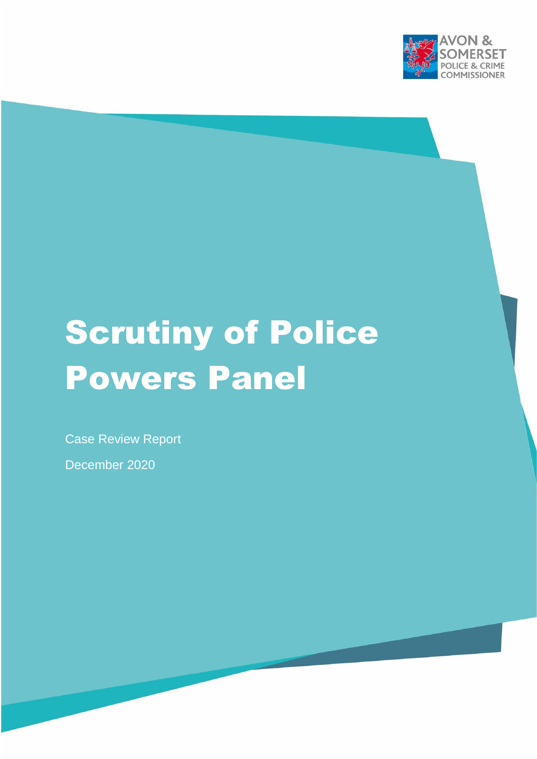

# Scrutiny of Police Powers Panel

Case Review Report

December 2020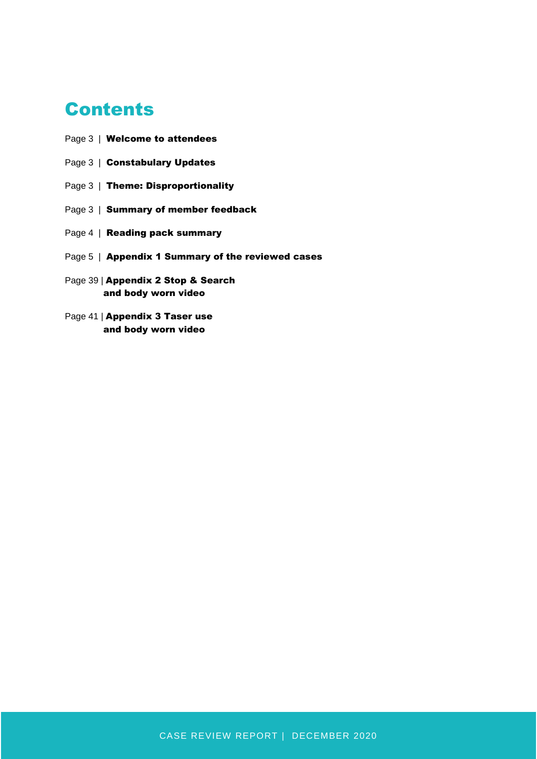## **Contents**

- Page 3 | Welcome to attendees
- Page 3 | Constabulary Updates
- Page 3 | Theme: Disproportionality
- Page 3 | Summary of member feedback
- Page 4 | Reading pack summary
- Page 5 | Appendix 1 Summary of the reviewed cases
- Page 39 | Appendix 2 Stop & Search and body worn video
- Page 41 | Appendix 3 Taser use and body worn video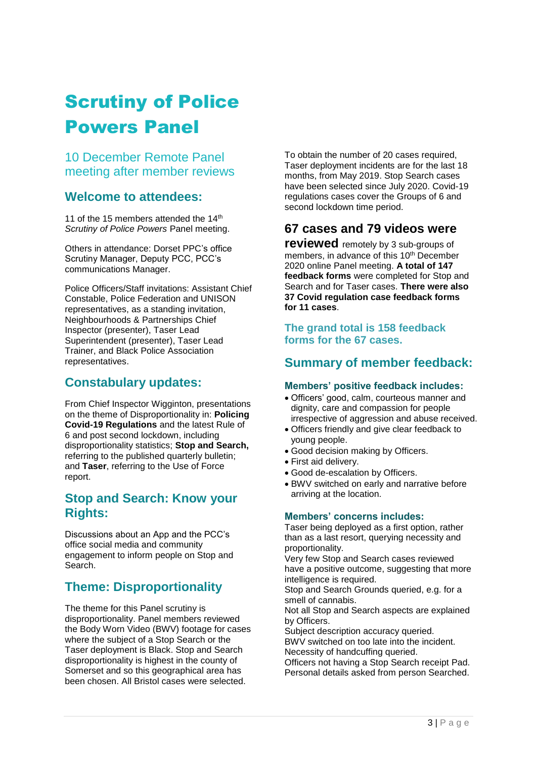# Scrutiny of Police Powers Panel

10 December Remote Panel meeting after member reviews

## **Welcome to attendees:**

11 of the 15 members attended the 14th *Scrutiny of Police Powers* Panel meeting.

Others in attendance: Dorset PPC's office Scrutiny Manager, Deputy PCC, PCC's communications Manager.

Police Officers/Staff invitations: Assistant Chief Constable, Police Federation and UNISON representatives, as a standing invitation, Neighbourhoods & Partnerships Chief Inspector (presenter), Taser Lead Superintendent (presenter), Taser Lead Trainer, and Black Police Association representatives.

## **Constabulary updates:**

From Chief Inspector Wigginton, presentations on the theme of Disproportionality in: **Policing Covid-19 Regulations** and the latest Rule of 6 and post second lockdown, including disproportionality statistics; **Stop and Search,**  referring to the published quarterly bulletin; and **Taser**, referring to the Use of Force report.

## **Stop and Search: Know your Rights:**

Discussions about an App and the PCC's office social media and community engagement to inform people on Stop and Search.

## **Theme: Disproportionality**

The theme for this Panel scrutiny is disproportionality. Panel members reviewed the Body Worn Video (BWV) footage for cases where the subject of a Stop Search or the Taser deployment is Black. Stop and Search disproportionality is highest in the county of Somerset and so this geographical area has been chosen. All Bristol cases were selected.

To obtain the number of 20 cases required, Taser deployment incidents are for the last 18 months, from May 2019. Stop Search cases have been selected since July 2020. Covid-19 regulations cases cover the Groups of 6 and second lockdown time period.

## **67 cases and 79 videos were**

**reviewed** remotely by 3 sub-groups of members, in advance of this 10<sup>th</sup> December 2020 online Panel meeting. **A total of 147 feedback forms** were completed for Stop and Search and for Taser cases. **There were also 37 Covid regulation case feedback forms for 11 cases**.

#### **The grand total is 158 feedback forms for the 67 cases.**

## **Summary of member feedback:**

#### **Members' positive feedback includes:**

- Officers' good, calm, courteous manner and dignity, care and compassion for people irrespective of aggression and abuse received.
- Officers friendly and give clear feedback to young people.
- Good decision making by Officers.
- First aid delivery.
- Good de-escalation by Officers.
- BWV switched on early and narrative before arriving at the location.

#### **Members' concerns includes:**

Taser being deployed as a first option, rather than as a last resort, querying necessity and proportionality.

Very few Stop and Search cases reviewed have a positive outcome, suggesting that more intelligence is required.

Stop and Search Grounds queried, e.g. for a smell of cannabis.

Not all Stop and Search aspects are explained by Officers.

Subject description accuracy queried. BWV switched on too late into the incident. Necessity of handcuffing queried.

Officers not having a Stop Search receipt Pad. Personal details asked from person Searched.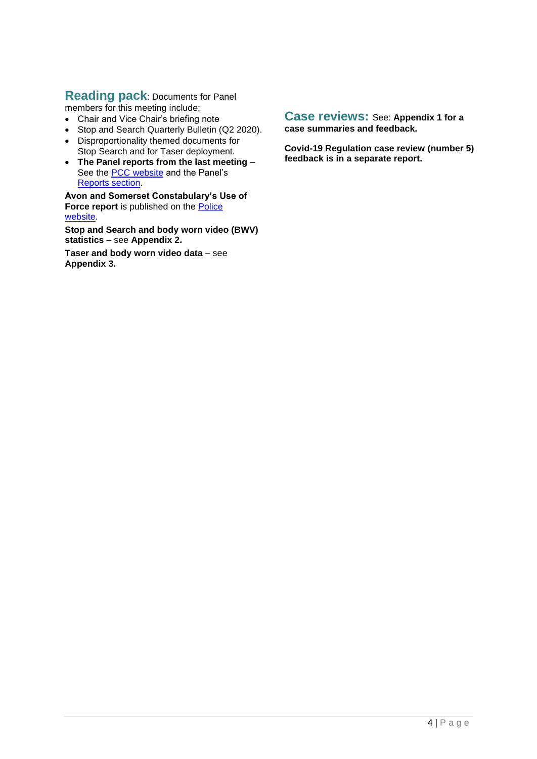## **Reading pack**: Documents for Panel

- members for this meeting include:
- Chair and Vice Chair's briefing note
- Stop and Search Quarterly Bulletin (Q2 2020).
- Disproportionality themed documents for Stop Search and for Taser deployment.
- **The Panel reports from the last meeting**  See the **PCC** website and the Panel's [Reports section.](http://www.avonandsomerset-pcc.gov.uk/Openness/Scrutiny/Scrutiny-of-Police-Powers-Panel-Reports.aspx)

**Avon and Somerset Constabulary's Use of Force report** is published on the **Police** [website.](https://www.avonandsomerset.police.uk/about-us/publication-scheme/what-our-priorities-are-and-how-we-are-doing/use-of-force/)

**Stop and Search and body worn video (BWV) statistics** – see **Appendix 2.**

**Taser and body worn video data** – see **Appendix 3.**

#### **Case reviews:** See: **Appendix 1 for a case summaries and feedback.**

**Covid-19 Regulation case review (number 5) feedback is in a separate report.**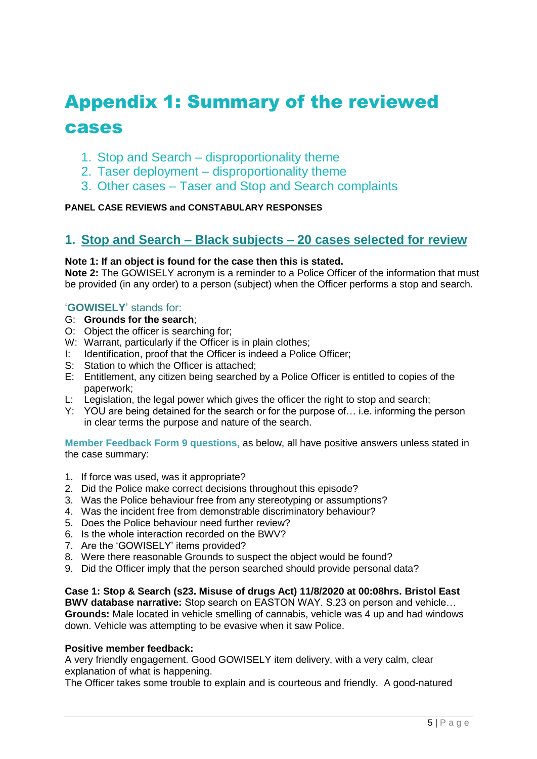# Appendix 1: Summary of the reviewed cases

- 1. Stop and Search disproportionality theme
- 2. Taser deployment disproportionality theme
- 3. Other cases Taser and Stop and Search complaints

#### **PANEL CASE REVIEWS and CONSTABULARY RESPONSES**

## **1. Stop and Search – Black subjects – 20 cases selected for review**

#### **Note 1: If an object is found for the case then this is stated.**

**Note 2:** The GOWISELY acronym is a reminder to a Police Officer of the information that must be provided (in any order) to a person (subject) when the Officer performs a stop and search.

#### '**GOWISELY**' stands for:

- G: **Grounds for the search**;
- O: Object the officer is searching for;
- W: Warrant, particularly if the Officer is in plain clothes;
- I: Identification, proof that the Officer is indeed a Police Officer;
- S: Station to which the Officer is attached;
- E: Entitlement, any citizen being searched by a Police Officer is entitled to copies of the paperwork;
- L: Legislation, the legal power which gives the officer the right to stop and search;
- Y: YOU are being detained for the search or for the purpose of… i.e. informing the person in clear terms the purpose and nature of the search.

**Member Feedback Form 9 questions,** as below, all have positive answers unless stated in the case summary:

- 1. If force was used, was it appropriate?
- 2. Did the Police make correct decisions throughout this episode?
- 3. Was the Police behaviour free from any stereotyping or assumptions?
- 4. Was the incident free from demonstrable discriminatory behaviour?
- 5. Does the Police behaviour need further review?
- 6. Is the whole interaction recorded on the BWV?
- 7. Are the 'GOWISELY' items provided?
- 8. Were there reasonable Grounds to suspect the object would be found?
- 9. Did the Officer imply that the person searched should provide personal data?

#### **Case 1: Stop & Search (s23. Misuse of drugs Act) 11/8/2020 at 00:08hrs. Bristol East**

**BWV database narrative:** Stop search on EASTON WAY. S.23 on person and vehicle… **Grounds:** Male located in vehicle smelling of cannabis, vehicle was 4 up and had windows down. Vehicle was attempting to be evasive when it saw Police.

#### **Positive member feedback:**

A very friendly engagement. Good GOWISELY item delivery, with a very calm, clear explanation of what is happening.

The Officer takes some trouble to explain and is courteous and friendly. A good-natured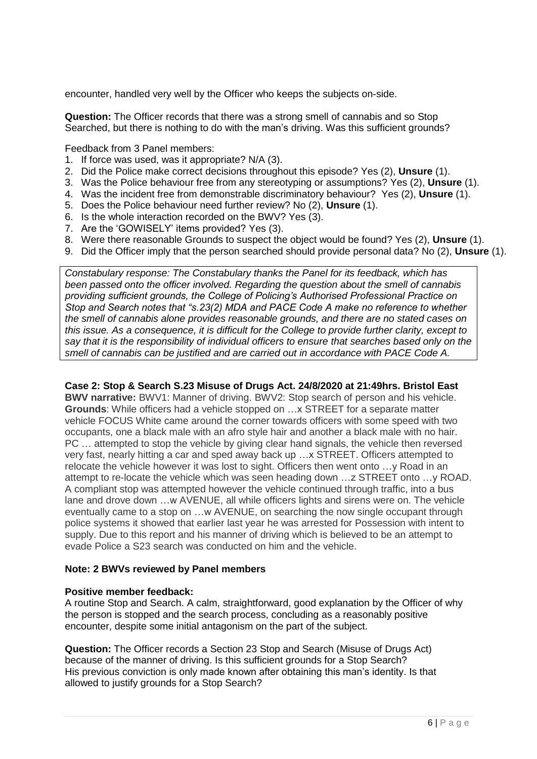encounter, handled very well by the Officer who keeps the subjects on-side.

**Question:** The Officer records that there was a strong smell of cannabis and so Stop Searched, but there is nothing to do with the man's driving. Was this sufficient grounds?

Feedback from 3 Panel members:

- 1. If force was used, was it appropriate? N/A (3).
- 2. Did the Police make correct decisions throughout this episode? Yes (2), **Unsure** (1).
- 3. Was the Police behaviour free from any stereotyping or assumptions? Yes (2), **Unsure** (1).
- 4. Was the incident free from demonstrable discriminatory behaviour? Yes (2), **Unsure** (1).
- 5. Does the Police behaviour need further review? No (2), **Unsure** (1).
- 6. Is the whole interaction recorded on the BWV? Yes (3).
- 7. Are the 'GOWISELY' items provided? Yes (3).
- 8. Were there reasonable Grounds to suspect the object would be found? Yes (2), **Unsure** (1).
- 9. Did the Officer imply that the person searched should provide personal data? No (2), **Unsure** (1).

*Constabulary response: The Constabulary thanks the Panel for its feedback, which has been passed onto the officer involved. Regarding the question about the smell of cannabis providing sufficient grounds, the College of Policing's Authorised Professional Practice on Stop and Search notes that "s.23(2) MDA and PACE Code A make no reference to whether the smell of cannabis alone provides reasonable grounds, and there are no stated cases on this issue. As a consequence, it is difficult for the College to provide further clarity, except to say that it is the responsibility of individual officers to ensure that searches based only on the smell of cannabis can be justified and are carried out in accordance with PACE Code A.*

**Case 2: Stop & Search S.23 Misuse of Drugs Act. 24/8/2020 at 21:49hrs. Bristol East BWV narrative:** BWV1: Manner of driving. BWV2: Stop search of person and his vehicle. **Grounds**: While officers had a vehicle stopped on …x STREET for a separate matter vehicle FOCUS White came around the corner towards officers with some speed with two occupants, one a black male with an afro style hair and another a black male with no hair. PC … attempted to stop the vehicle by giving clear hand signals, the vehicle then reversed very fast, nearly hitting a car and sped away back up …x STREET. Officers attempted to relocate the vehicle however it was lost to sight. Officers then went onto …y Road in an attempt to re-locate the vehicle which was seen heading down …z STREET onto …y ROAD. A compliant stop was attempted however the vehicle continued through traffic, into a bus lane and drove down …w AVENUE, all while officers lights and sirens were on. The vehicle eventually came to a stop on …w AVENUE, on searching the now single occupant through police systems it showed that earlier last year he was arrested for Possession with intent to supply. Due to this report and his manner of driving which is believed to be an attempt to evade Police a S23 search was conducted on him and the vehicle.

#### **Note: 2 BWVs reviewed by Panel members**

#### **Positive member feedback:**

A routine Stop and Search. A calm, straightforward, good explanation by the Officer of why the person is stopped and the search process, concluding as a reasonably positive encounter, despite some initial antagonism on the part of the subject.

**Question:** The Officer records a Section 23 Stop and Search (Misuse of Drugs Act) because of the manner of driving. Is this sufficient grounds for a Stop Search? His previous conviction is only made known after obtaining this man's identity. Is that allowed to justify grounds for a Stop Search?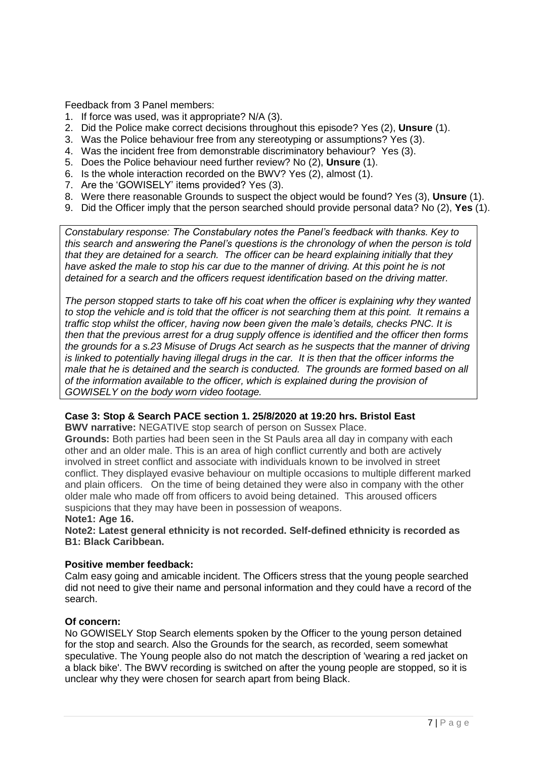Feedback from 3 Panel members:

- 1. If force was used, was it appropriate? N/A (3).
- 2. Did the Police make correct decisions throughout this episode? Yes (2), **Unsure** (1).
- 3. Was the Police behaviour free from any stereotyping or assumptions? Yes (3).
- 4. Was the incident free from demonstrable discriminatory behaviour? Yes (3).
- 5. Does the Police behaviour need further review? No (2), **Unsure** (1).
- 6. Is the whole interaction recorded on the BWV? Yes (2), almost (1).
- 7. Are the 'GOWISELY' items provided? Yes (3).
- 8. Were there reasonable Grounds to suspect the object would be found? Yes (3), **Unsure** (1).
- 9. Did the Officer imply that the person searched should provide personal data? No (2), **Yes** (1).

*Constabulary response: The Constabulary notes the Panel's feedback with thanks. Key to this search and answering the Panel's questions is the chronology of when the person is told that they are detained for a search. The officer can be heard explaining initially that they have asked the male to stop his car due to the manner of driving. At this point he is not detained for a search and the officers request identification based on the driving matter.*

*The person stopped starts to take off his coat when the officer is explaining why they wanted to stop the vehicle and is told that the officer is not searching them at this point. It remains a traffic stop whilst the officer, having now been given the male's details, checks PNC. It is then that the previous arrest for a drug supply offence is identified and the officer then forms the grounds for a s.23 Misuse of Drugs Act search as he suspects that the manner of driving is linked to potentially having illegal drugs in the car. It is then that the officer informs the male that he is detained and the search is conducted. The grounds are formed based on all of the information available to the officer, which is explained during the provision of GOWISELY on the body worn video footage.*

#### **Case 3: Stop & Search PACE section 1. 25/8/2020 at 19:20 hrs. Bristol East**

**BWV narrative:** NEGATIVE stop search of person on Sussex Place.

**Grounds:** Both parties had been seen in the St Pauls area all day in company with each other and an older male. This is an area of high conflict currently and both are actively involved in street conflict and associate with individuals known to be involved in street conflict. They displayed evasive behaviour on multiple occasions to multiple different marked and plain officers. On the time of being detained they were also in company with the other older male who made off from officers to avoid being detained. This aroused officers suspicions that they may have been in possession of weapons.

#### **Note1: Age 16.**

**Note2: Latest general ethnicity is not recorded. Self-defined ethnicity is recorded as B1: Black Caribbean.**

#### **Positive member feedback:**

Calm easy going and amicable incident. The Officers stress that the young people searched did not need to give their name and personal information and they could have a record of the search.

#### **Of concern:**

No GOWISELY Stop Search elements spoken by the Officer to the young person detained for the stop and search. Also the Grounds for the search, as recorded, seem somewhat speculative. The Young people also do not match the description of 'wearing a red jacket on a black bike'. The BWV recording is switched on after the young people are stopped, so it is unclear why they were chosen for search apart from being Black.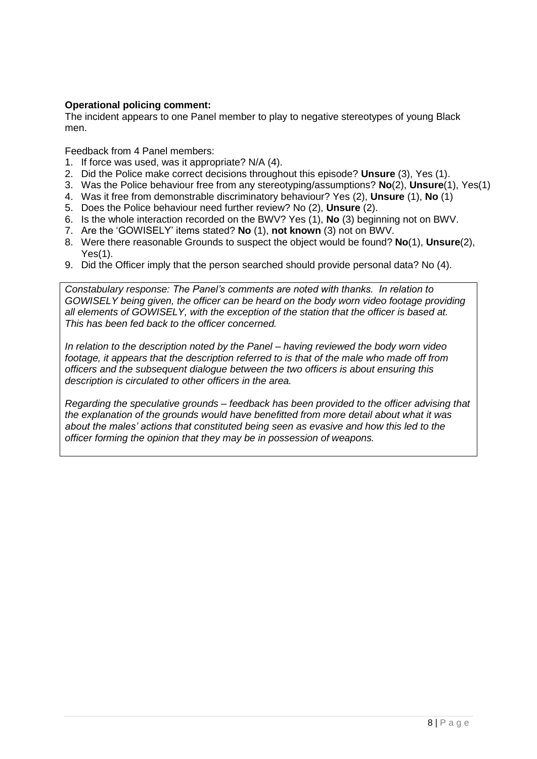#### **Operational policing comment:**

The incident appears to one Panel member to play to negative stereotypes of young Black men.

Feedback from 4 Panel members:

- 1. If force was used, was it appropriate? N/A (4).
- 2. Did the Police make correct decisions throughout this episode? **Unsure** (3), Yes (1).
- 3. Was the Police behaviour free from any stereotyping/assumptions? **No**(2), **Unsure**(1), Yes(1)
- 4. Was it free from demonstrable discriminatory behaviour? Yes (2), **Unsure** (1), **No** (1)
- 5. Does the Police behaviour need further review? No (2), **Unsure** (2).
- 6. Is the whole interaction recorded on the BWV? Yes (1), **No** (3) beginning not on BWV.
- 7. Are the 'GOWISELY' items stated? **No** (1), **not known** (3) not on BWV.
- 8. Were there reasonable Grounds to suspect the object would be found? **No**(1), **Unsure**(2), Yes(1).
- 9. Did the Officer imply that the person searched should provide personal data? No (4).

*Constabulary response: The Panel's comments are noted with thanks. In relation to GOWISELY being given, the officer can be heard on the body worn video footage providing all elements of GOWISELY, with the exception of the station that the officer is based at. This has been fed back to the officer concerned.*

*In relation to the description noted by the Panel – having reviewed the body worn video footage, it appears that the description referred to is that of the male who made off from officers and the subsequent dialogue between the two officers is about ensuring this description is circulated to other officers in the area.*

*Regarding the speculative grounds – feedback has been provided to the officer advising that the explanation of the grounds would have benefitted from more detail about what it was about the males' actions that constituted being seen as evasive and how this led to the officer forming the opinion that they may be in possession of weapons.*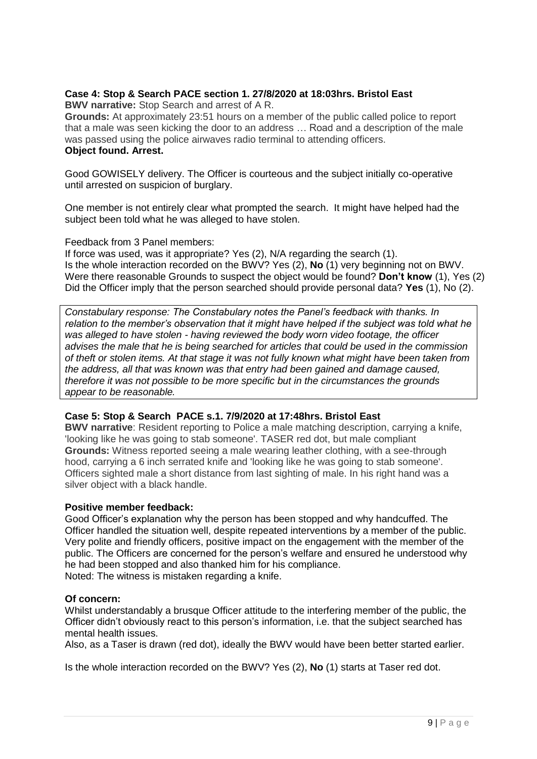#### **Case 4: Stop & Search PACE section 1. 27/8/2020 at 18:03hrs. Bristol East**

**BWV narrative:** Stop Search and arrest of A R.

**Grounds:** At approximately 23:51 hours on a member of the public called police to report that a male was seen kicking the door to an address … Road and a description of the male was passed using the police airwaves radio terminal to attending officers. **Object found. Arrest.**

Good GOWISELY delivery. The Officer is courteous and the subject initially co-operative until arrested on suspicion of burglary.

One member is not entirely clear what prompted the search. It might have helped had the subject been told what he was alleged to have stolen.

#### Feedback from 3 Panel members:

If force was used, was it appropriate? Yes (2), N/A regarding the search (1). Is the whole interaction recorded on the BWV? Yes (2), **No** (1) very beginning not on BWV. Were there reasonable Grounds to suspect the object would be found? **Don't know** (1), Yes (2) Did the Officer imply that the person searched should provide personal data? **Yes** (1), No (2).

*Constabulary response: The Constabulary notes the Panel's feedback with thanks. In relation to the member's observation that it might have helped if the subject was told what he was alleged to have stolen - having reviewed the body worn video footage, the officer advises the male that he is being searched for articles that could be used in the commission of theft or stolen items. At that stage it was not fully known what might have been taken from the address, all that was known was that entry had been gained and damage caused, therefore it was not possible to be more specific but in the circumstances the grounds appear to be reasonable.*

#### **Case 5: Stop & Search PACE s.1. 7/9/2020 at 17:48hrs. Bristol East**

**BWV narrative**: Resident reporting to Police a male matching description, carrying a knife, 'looking like he was going to stab someone'. TASER red dot, but male compliant **Grounds:** Witness reported seeing a male wearing leather clothing, with a see-through hood, carrying a 6 inch serrated knife and 'looking like he was going to stab someone'. Officers sighted male a short distance from last sighting of male. In his right hand was a silver object with a black handle.

#### **Positive member feedback:**

Good Officer's explanation why the person has been stopped and why handcuffed. The Officer handled the situation well, despite repeated interventions by a member of the public. Very polite and friendly officers, positive impact on the engagement with the member of the public. The Officers are concerned for the person's welfare and ensured he understood why he had been stopped and also thanked him for his compliance. Noted: The witness is mistaken regarding a knife.

#### **Of concern:**

Whilst understandably a brusque Officer attitude to the interfering member of the public, the Officer didn't obviously react to this person's information, i.e. that the subject searched has mental health issues.

Also, as a Taser is drawn (red dot), ideally the BWV would have been better started earlier.

Is the whole interaction recorded on the BWV? Yes (2), **No** (1) starts at Taser red dot.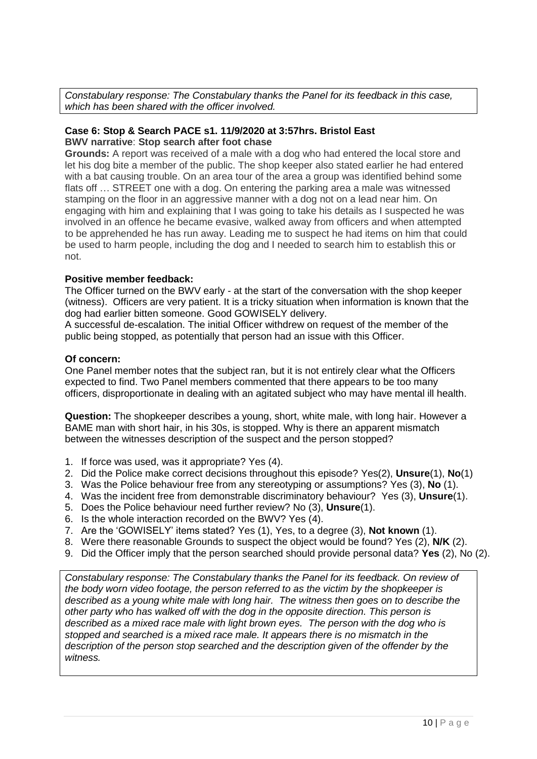*Constabulary response: The Constabulary thanks the Panel for its feedback in this case, which has been shared with the officer involved.*

#### **Case 6: Stop & Search PACE s1. 11/9/2020 at 3:57hrs. Bristol East BWV narrative**: **Stop search after foot chase**

**Grounds:** A report was received of a male with a dog who had entered the local store and let his dog bite a member of the public. The shop keeper also stated earlier he had entered with a bat causing trouble. On an area tour of the area a group was identified behind some flats off … STREET one with a dog. On entering the parking area a male was witnessed stamping on the floor in an aggressive manner with a dog not on a lead near him. On engaging with him and explaining that I was going to take his details as I suspected he was involved in an offence he became evasive, walked away from officers and when attempted to be apprehended he has run away. Leading me to suspect he had items on him that could be used to harm people, including the dog and I needed to search him to establish this or not.

#### **Positive member feedback:**

The Officer turned on the BWV early - at the start of the conversation with the shop keeper (witness). Officers are very patient. It is a tricky situation when information is known that the dog had earlier bitten someone. Good GOWISELY delivery.

A successful de-escalation. The initial Officer withdrew on request of the member of the public being stopped, as potentially that person had an issue with this Officer.

#### **Of concern:**

One Panel member notes that the subject ran, but it is not entirely clear what the Officers expected to find. Two Panel members commented that there appears to be too many officers, disproportionate in dealing with an agitated subject who may have mental ill health.

**Question:** The shopkeeper describes a young, short, white male, with long hair. However a BAME man with short hair, in his 30s, is stopped. Why is there an apparent mismatch between the witnesses description of the suspect and the person stopped?

- 1. If force was used, was it appropriate? Yes (4).
- 2. Did the Police make correct decisions throughout this episode? Yes(2), **Unsure**(1), **No**(1)
- 3. Was the Police behaviour free from any stereotyping or assumptions? Yes (3), **No** (1).
- 4. Was the incident free from demonstrable discriminatory behaviour? Yes (3), **Unsure**(1).
- 5. Does the Police behaviour need further review? No (3), **Unsure**(1).
- 6. Is the whole interaction recorded on the BWV? Yes (4).
- 7. Are the 'GOWISELY' items stated? Yes (1), Yes, to a degree (3), **Not known** (1).
- 8. Were there reasonable Grounds to suspect the object would be found? Yes (2), **N/K** (2).
- 9. Did the Officer imply that the person searched should provide personal data? **Yes** (2), No (2).

*Constabulary response: The Constabulary thanks the Panel for its feedback. On review of the body worn video footage, the person referred to as the victim by the shopkeeper is described as a young white male with long hair. The witness then goes on to describe the other party who has walked off with the dog in the opposite direction. This person is described as a mixed race male with light brown eyes. The person with the dog who is stopped and searched is a mixed race male. It appears there is no mismatch in the description of the person stop searched and the description given of the offender by the witness.*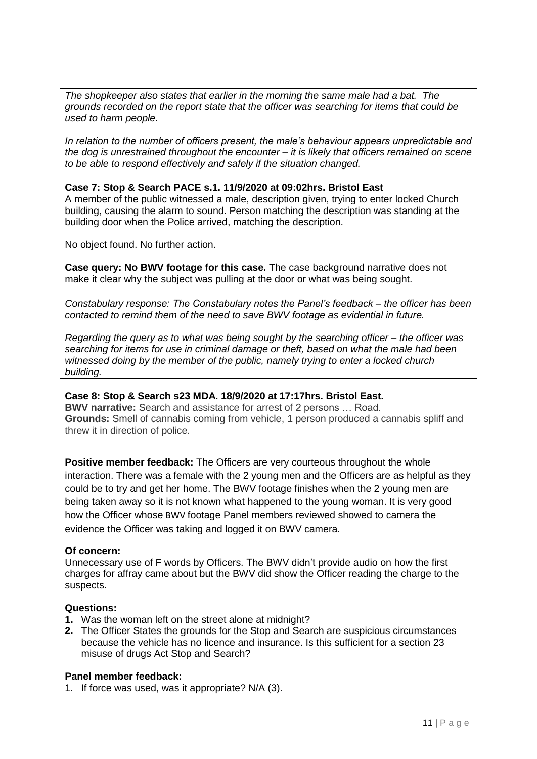*The shopkeeper also states that earlier in the morning the same male had a bat. The grounds recorded on the report state that the officer was searching for items that could be used to harm people.*

*In relation to the number of officers present, the male's behaviour appears unpredictable and the dog is unrestrained throughout the encounter – it is likely that officers remained on scene to be able to respond effectively and safely if the situation changed.*

#### **Case 7: Stop & Search PACE s.1. 11/9/2020 at 09:02hrs. Bristol East**

A member of the public witnessed a male, description given, trying to enter locked Church building, causing the alarm to sound. Person matching the description was standing at the building door when the Police arrived, matching the description.

No object found. No further action.

**Case query: No BWV footage for this case.** The case background narrative does not make it clear why the subject was pulling at the door or what was being sought.

*Constabulary response: The Constabulary notes the Panel's feedback – the officer has been contacted to remind them of the need to save BWV footage as evidential in future.* 

*Regarding the query as to what was being sought by the searching officer – the officer was searching for items for use in criminal damage or theft, based on what the male had been witnessed doing by the member of the public, namely trying to enter a locked church building.* 

#### **Case 8: Stop & Search s23 MDA. 18/9/2020 at 17:17hrs. Bristol East.**

**BWV narrative:** Search and assistance for arrest of 2 persons … Road. **Grounds:** Smell of cannabis coming from vehicle, 1 person produced a cannabis spliff and threw it in direction of police.

**Positive member feedback:** The Officers are very courteous throughout the whole interaction. There was a female with the 2 young men and the Officers are as helpful as they could be to try and get her home. The BWV footage finishes when the 2 young men are being taken away so it is not known what happened to the young woman. It is very good how the Officer whose BWV footage Panel members reviewed showed to camera the evidence the Officer was taking and logged it on BWV camera.

#### **Of concern:**

Unnecessary use of F words by Officers. The BWV didn't provide audio on how the first charges for affray came about but the BWV did show the Officer reading the charge to the suspects.

#### **Questions:**

- **1.** Was the woman left on the street alone at midnight?
- **2.** The Officer States the grounds for the Stop and Search are suspicious circumstances because the vehicle has no licence and insurance. Is this sufficient for a section 23 misuse of drugs Act Stop and Search?

#### **Panel member feedback:**

1. If force was used, was it appropriate? N/A (3).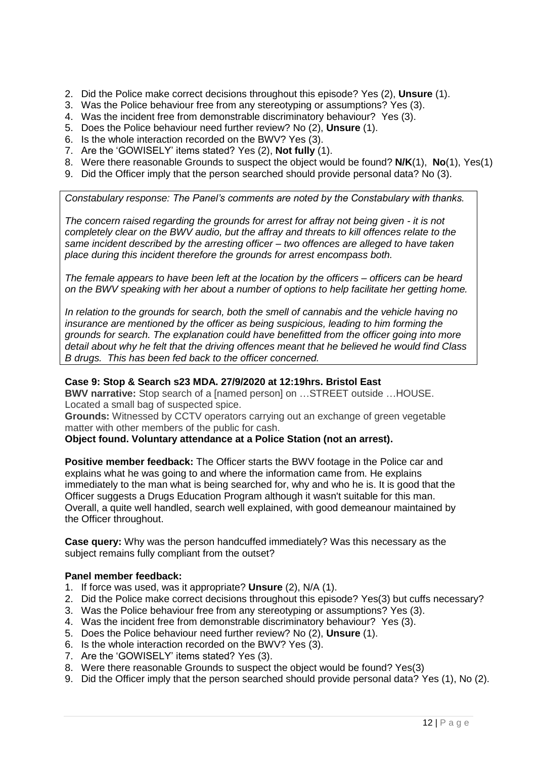- 2. Did the Police make correct decisions throughout this episode? Yes (2), **Unsure** (1).
- 3. Was the Police behaviour free from any stereotyping or assumptions? Yes (3).
- 4. Was the incident free from demonstrable discriminatory behaviour? Yes (3).
- 5. Does the Police behaviour need further review? No (2), **Unsure** (1).
- 6. Is the whole interaction recorded on the BWV? Yes (3).
- 7. Are the 'GOWISELY' items stated? Yes (2), **Not fully** (1).
- 8. Were there reasonable Grounds to suspect the object would be found? **N/K**(1), **No**(1), Yes(1)
- 9. Did the Officer imply that the person searched should provide personal data? No (3).

*Constabulary response: The Panel's comments are noted by the Constabulary with thanks.* 

*The concern raised regarding the grounds for arrest for affray not being given - it is not completely clear on the BWV audio, but the affray and threats to kill offences relate to the same incident described by the arresting officer – two offences are alleged to have taken place during this incident therefore the grounds for arrest encompass both.*

*The female appears to have been left at the location by the officers – officers can be heard on the BWV speaking with her about a number of options to help facilitate her getting home.*

*In relation to the grounds for search, both the smell of cannabis and the vehicle having no insurance are mentioned by the officer as being suspicious, leading to him forming the grounds for search. The explanation could have benefitted from the officer going into more detail about why he felt that the driving offences meant that he believed he would find Class B drugs. This has been fed back to the officer concerned.*

#### **Case 9: Stop & Search s23 MDA. 27/9/2020 at 12:19hrs. Bristol East**

**BWV narrative:** Stop search of a [named person] on …STREET outside …HOUSE. Located a small bag of suspected spice.

**Grounds:** Witnessed by CCTV operators carrying out an exchange of green vegetable matter with other members of the public for cash.

#### **Object found. Voluntary attendance at a Police Station (not an arrest).**

**Positive member feedback:** The Officer starts the BWV footage in the Police car and explains what he was going to and where the information came from. He explains immediately to the man what is being searched for, why and who he is. It is good that the Officer suggests a Drugs Education Program although it wasn't suitable for this man. Overall, a quite well handled, search well explained, with good demeanour maintained by the Officer throughout.

**Case query:** Why was the person handcuffed immediately? Was this necessary as the subject remains fully compliant from the outset?

#### **Panel member feedback:**

- 1. If force was used, was it appropriate? **Unsure** (2), N/A (1).
- 2. Did the Police make correct decisions throughout this episode? Yes(3) but cuffs necessary?
- 3. Was the Police behaviour free from any stereotyping or assumptions? Yes (3).
- 4. Was the incident free from demonstrable discriminatory behaviour? Yes (3).
- 5. Does the Police behaviour need further review? No (2), **Unsure** (1).
- 6. Is the whole interaction recorded on the BWV? Yes (3).
- 7. Are the 'GOWISELY' items stated? Yes (3).
- 8. Were there reasonable Grounds to suspect the object would be found? Yes(3)
- 9. Did the Officer imply that the person searched should provide personal data? Yes (1), No (2).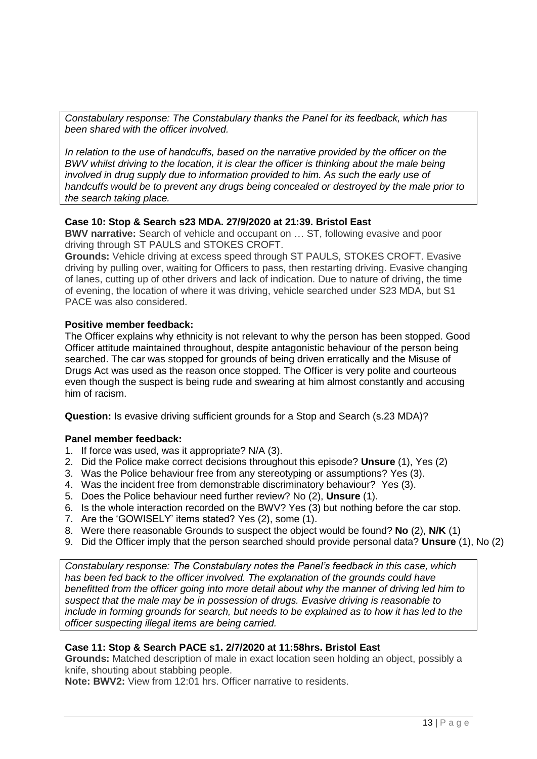*Constabulary response: The Constabulary thanks the Panel for its feedback, which has been shared with the officer involved.*

*In relation to the use of handcuffs, based on the narrative provided by the officer on the BWV whilst driving to the location, it is clear the officer is thinking about the male being involved in drug supply due to information provided to him. As such the early use of handcuffs would be to prevent any drugs being concealed or destroyed by the male prior to the search taking place.*

#### **Case 10: Stop & Search s23 MDA. 27/9/2020 at 21:39. Bristol East**

**BWV narrative:** Search of vehicle and occupant on … ST, following evasive and poor driving through ST PAULS and STOKES CROFT.

**Grounds:** Vehicle driving at excess speed through ST PAULS, STOKES CROFT. Evasive driving by pulling over, waiting for Officers to pass, then restarting driving. Evasive changing of lanes, cutting up of other drivers and lack of indication. Due to nature of driving, the time of evening, the location of where it was driving, vehicle searched under S23 MDA, but S1 PACE was also considered.

#### **Positive member feedback:**

The Officer explains why ethnicity is not relevant to why the person has been stopped. Good Officer attitude maintained throughout, despite antagonistic behaviour of the person being searched. The car was stopped for grounds of being driven erratically and the Misuse of Drugs Act was used as the reason once stopped. The Officer is very polite and courteous even though the suspect is being rude and swearing at him almost constantly and accusing him of racism.

**Question:** Is evasive driving sufficient grounds for a Stop and Search (s.23 MDA)?

#### **Panel member feedback:**

- 1. If force was used, was it appropriate? N/A (3).
- 2. Did the Police make correct decisions throughout this episode? **Unsure** (1), Yes (2)
- 3. Was the Police behaviour free from any stereotyping or assumptions? Yes (3).
- 4. Was the incident free from demonstrable discriminatory behaviour? Yes (3).
- 5. Does the Police behaviour need further review? No (2), **Unsure** (1).
- 6. Is the whole interaction recorded on the BWV? Yes (3) but nothing before the car stop.
- 7. Are the 'GOWISELY' items stated? Yes (2), some (1).
- 8. Were there reasonable Grounds to suspect the object would be found? **No** (2), **N/K** (1)
- 9. Did the Officer imply that the person searched should provide personal data? **Unsure** (1), No (2)

*Constabulary response: The Constabulary notes the Panel's feedback in this case, which has been fed back to the officer involved. The explanation of the grounds could have benefitted from the officer going into more detail about why the manner of driving led him to suspect that the male may be in possession of drugs. Evasive driving is reasonable to include in forming grounds for search, but needs to be explained as to how it has led to the officer suspecting illegal items are being carried.*

#### **Case 11: Stop & Search PACE s1. 2/7/2020 at 11:58hrs. Bristol East**

**Grounds:** Matched description of male in exact location seen holding an object, possibly a knife, shouting about stabbing people.

**Note: BWV2:** View from 12:01 hrs. Officer narrative to residents.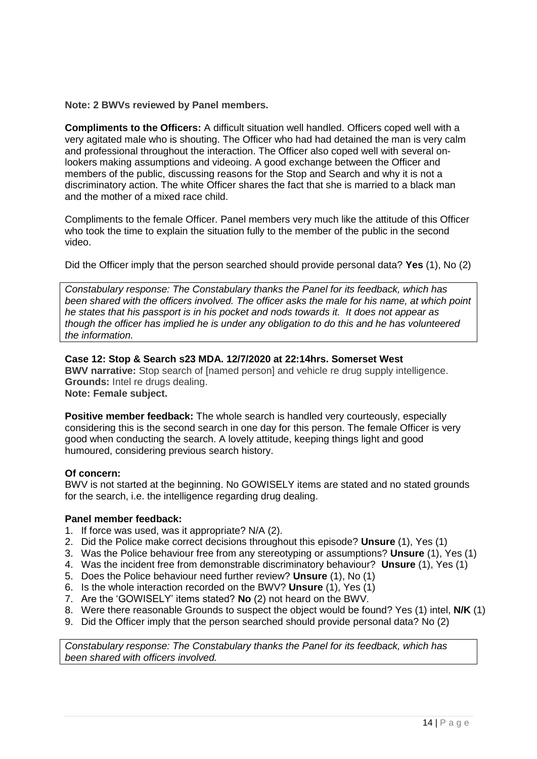**Note: 2 BWVs reviewed by Panel members.**

**Compliments to the Officers:** A difficult situation well handled. Officers coped well with a very agitated male who is shouting. The Officer who had had detained the man is very calm and professional throughout the interaction. The Officer also coped well with several onlookers making assumptions and videoing. A good exchange between the Officer and members of the public, discussing reasons for the Stop and Search and why it is not a discriminatory action. The white Officer shares the fact that she is married to a black man and the mother of a mixed race child.

Compliments to the female Officer. Panel members very much like the attitude of this Officer who took the time to explain the situation fully to the member of the public in the second video.

Did the Officer imply that the person searched should provide personal data? **Yes** (1), No (2)

*Constabulary response: The Constabulary thanks the Panel for its feedback, which has been shared with the officers involved. The officer asks the male for his name, at which point he states that his passport is in his pocket and nods towards it. It does not appear as though the officer has implied he is under any obligation to do this and he has volunteered the information.*

#### **Case 12: Stop & Search s23 MDA. 12/7/2020 at 22:14hrs. Somerset West**

**BWV narrative:** Stop search of [named person] and vehicle re drug supply intelligence. **Grounds:** Intel re drugs dealing.

**Note: Female subject.** 

**Positive member feedback:** The whole search is handled very courteously, especially considering this is the second search in one day for this person. The female Officer is very good when conducting the search. A lovely attitude, keeping things light and good humoured, considering previous search history.

#### **Of concern:**

BWV is not started at the beginning. No GOWISELY items are stated and no stated grounds for the search, i.e. the intelligence regarding drug dealing.

#### **Panel member feedback:**

- 1. If force was used, was it appropriate? N/A (2).
- 2. Did the Police make correct decisions throughout this episode? **Unsure** (1), Yes (1)
- 3. Was the Police behaviour free from any stereotyping or assumptions? **Unsure** (1), Yes (1)
- 4. Was the incident free from demonstrable discriminatory behaviour? **Unsure** (1), Yes (1)
- 5. Does the Police behaviour need further review? **Unsure** (1), No (1)
- 6. Is the whole interaction recorded on the BWV? **Unsure** (1), Yes (1)
- 7. Are the 'GOWISELY' items stated? **No** (2) not heard on the BWV.
- 8. Were there reasonable Grounds to suspect the object would be found? Yes (1) intel, **N/K** (1)
- 9. Did the Officer imply that the person searched should provide personal data? No (2)

*Constabulary response: The Constabulary thanks the Panel for its feedback, which has been shared with officers involved.*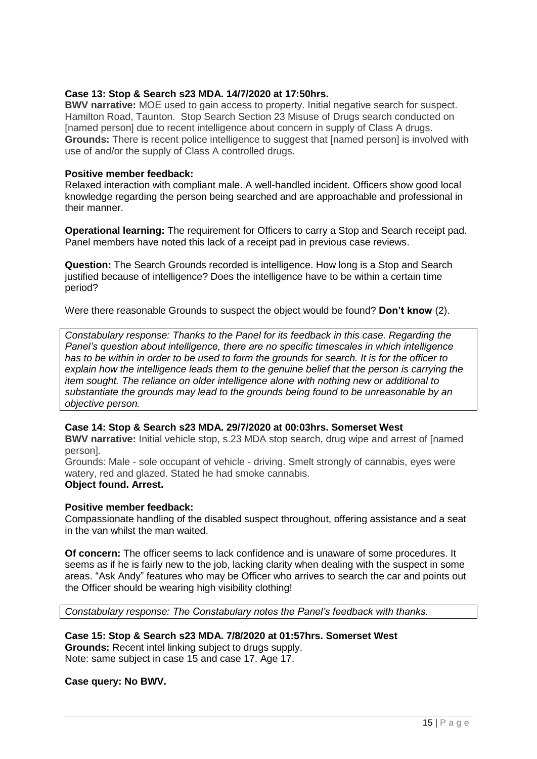#### **Case 13: Stop & Search s23 MDA. 14/7/2020 at 17:50hrs.**

**BWV narrative:** MOE used to gain access to property. Initial negative search for suspect. Hamilton Road, Taunton. Stop Search Section 23 Misuse of Drugs search conducted on [named person] due to recent intelligence about concern in supply of Class A drugs. **Grounds:** There is recent police intelligence to suggest that [named person] is involved with use of and/or the supply of Class A controlled drugs.

#### **Positive member feedback:**

Relaxed interaction with compliant male. A well-handled incident. Officers show good local knowledge regarding the person being searched and are approachable and professional in their manner.

**Operational learning:** The requirement for Officers to carry a Stop and Search receipt pad. Panel members have noted this lack of a receipt pad in previous case reviews.

**Question:** The Search Grounds recorded is intelligence. How long is a Stop and Search justified because of intelligence? Does the intelligence have to be within a certain time period?

Were there reasonable Grounds to suspect the object would be found? **Don't know** (2).

*Constabulary response: Thanks to the Panel for its feedback in this case. Regarding the Panel's question about intelligence, there are no specific timescales in which intelligence has to be within in order to be used to form the grounds for search. It is for the officer to explain how the intelligence leads them to the genuine belief that the person is carrying the item sought. The reliance on older intelligence alone with nothing new or additional to substantiate the grounds may lead to the grounds being found to be unreasonable by an objective person.*

#### **Case 14: Stop & Search s23 MDA. 29/7/2020 at 00:03hrs. Somerset West**

**BWV narrative:** Initial vehicle stop, s.23 MDA stop search, drug wipe and arrest of [named person].

Grounds: Male - sole occupant of vehicle - driving. Smelt strongly of cannabis, eyes were watery, red and glazed. Stated he had smoke cannabis.

#### **Object found. Arrest.**

#### **Positive member feedback:**

Compassionate handling of the disabled suspect throughout, offering assistance and a seat in the van whilst the man waited.

**Of concern:** The officer seems to lack confidence and is unaware of some procedures. It seems as if he is fairly new to the job, lacking clarity when dealing with the suspect in some areas. "Ask Andy" features who may be Officer who arrives to search the car and points out the Officer should be wearing high visibility clothing!

*Constabulary response: The Constabulary notes the Panel's feedback with thanks.* 

#### **Case 15: Stop & Search s23 MDA. 7/8/2020 at 01:57hrs. Somerset West**

**Grounds:** Recent intel linking subject to drugs supply. Note: same subject in case 15 and case 17. Age 17.

#### **Case query: No BWV.**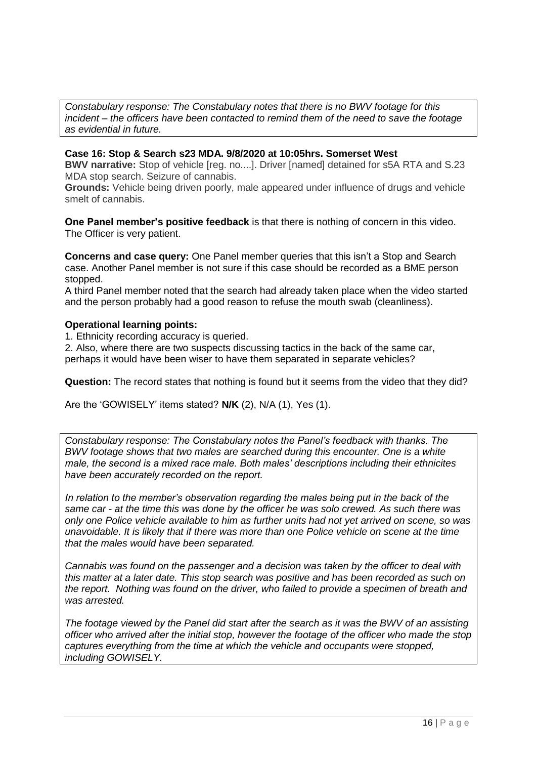*Constabulary response: The Constabulary notes that there is no BWV footage for this incident – the officers have been contacted to remind them of the need to save the footage as evidential in future.*

#### **Case 16: Stop & Search s23 MDA. 9/8/2020 at 10:05hrs. Somerset West**

**BWV narrative:** Stop of vehicle [reg. no....]. Driver [named] detained for s5A RTA and S.23 MDA stop search. Seizure of cannabis.

**Grounds:** Vehicle being driven poorly, male appeared under influence of drugs and vehicle smelt of cannabis.

**One Panel member's positive feedback** is that there is nothing of concern in this video. The Officer is very patient.

**Concerns and case query:** One Panel member queries that this isn't a Stop and Search case. Another Panel member is not sure if this case should be recorded as a BME person stopped.

A third Panel member noted that the search had already taken place when the video started and the person probably had a good reason to refuse the mouth swab (cleanliness).

#### **Operational learning points:**

1. Ethnicity recording accuracy is queried.

2. Also, where there are two suspects discussing tactics in the back of the same car, perhaps it would have been wiser to have them separated in separate vehicles?

**Question:** The record states that nothing is found but it seems from the video that they did?

Are the 'GOWISELY' items stated? **N/K** (2), N/A (1), Yes (1).

*Constabulary response: The Constabulary notes the Panel's feedback with thanks. The BWV footage shows that two males are searched during this encounter. One is a white male, the second is a mixed race male. Both males' descriptions including their ethnicites have been accurately recorded on the report.* 

*In relation to the member's observation regarding the males being put in the back of the same car - at the time this was done by the officer he was solo crewed. As such there was only one Police vehicle available to him as further units had not yet arrived on scene, so was unavoidable. It is likely that if there was more than one Police vehicle on scene at the time that the males would have been separated.*

*Cannabis was found on the passenger and a decision was taken by the officer to deal with this matter at a later date. This stop search was positive and has been recorded as such on the report. Nothing was found on the driver, who failed to provide a specimen of breath and was arrested.*

*The footage viewed by the Panel did start after the search as it was the BWV of an assisting officer who arrived after the initial stop, however the footage of the officer who made the stop captures everything from the time at which the vehicle and occupants were stopped, including GOWISELY.*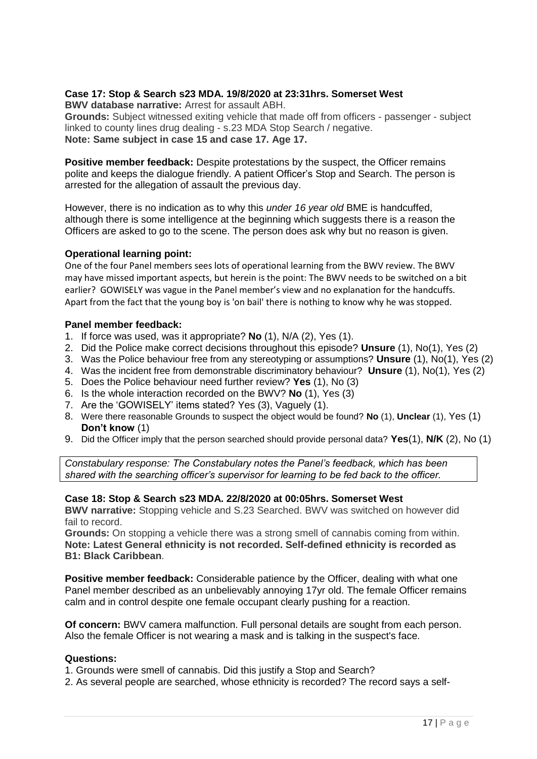#### **Case 17: Stop & Search s23 MDA. 19/8/2020 at 23:31hrs. Somerset West**

**BWV database narrative:** Arrest for assault ABH.

**Grounds:** Subject witnessed exiting vehicle that made off from officers - passenger - subject linked to county lines drug dealing - s.23 MDA Stop Search / negative. **Note: Same subject in case 15 and case 17. Age 17.**

**Positive member feedback:** Despite protestations by the suspect, the Officer remains polite and keeps the dialogue friendly. A patient Officer's Stop and Search. The person is arrested for the allegation of assault the previous day.

However, there is no indication as to why this *under 16 year old* BME is handcuffed, although there is some intelligence at the beginning which suggests there is a reason the Officers are asked to go to the scene. The person does ask why but no reason is given.

#### **Operational learning point:**

One of the four Panel members sees lots of operational learning from the BWV review. The BWV may have missed important aspects, but herein is the point: The BWV needs to be switched on a bit earlier? GOWISELY was vague in the Panel member's view and no explanation for the handcuffs. Apart from the fact that the young boy is 'on bail' there is nothing to know why he was stopped.

#### **Panel member feedback:**

- 1. If force was used, was it appropriate? **No** (1), N/A (2), Yes (1).
- 2. Did the Police make correct decisions throughout this episode? **Unsure** (1), No(1), Yes (2)
- 3. Was the Police behaviour free from any stereotyping or assumptions? **Unsure** (1), No(1), Yes (2)
- 4. Was the incident free from demonstrable discriminatory behaviour? **Unsure** (1), No(1), Yes (2)
- 5. Does the Police behaviour need further review? **Yes** (1), No (3)
- 6. Is the whole interaction recorded on the BWV? **No** (1), Yes (3)
- 7. Are the 'GOWISELY' items stated? Yes (3), Vaguely (1).
- 8. Were there reasonable Grounds to suspect the object would be found? **No** (1), **Unclear** (1), Yes (1) **Don't know** (1)
- 9. Did the Officer imply that the person searched should provide personal data? **Yes**(1), **N/K** (2), No (1)

*Constabulary response: The Constabulary notes the Panel's feedback, which has been shared with the searching officer's supervisor for learning to be fed back to the officer.*

#### **Case 18: Stop & Search s23 MDA. 22/8/2020 at 00:05hrs. Somerset West**

**BWV narrative:** Stopping vehicle and S.23 Searched. BWV was switched on however did fail to record.

**Grounds:** On stopping a vehicle there was a strong smell of cannabis coming from within. **Note: Latest General ethnicity is not recorded. Self-defined ethnicity is recorded as B1: Black Caribbean**.

**Positive member feedback:** Considerable patience by the Officer, dealing with what one Panel member described as an unbelievably annoying 17yr old. The female Officer remains calm and in control despite one female occupant clearly pushing for a reaction.

**Of concern:** BWV camera malfunction. Full personal details are sought from each person. Also the female Officer is not wearing a mask and is talking in the suspect's face.

#### **Questions:**

1. Grounds were smell of cannabis. Did this justify a Stop and Search?

2. As several people are searched, whose ethnicity is recorded? The record says a self-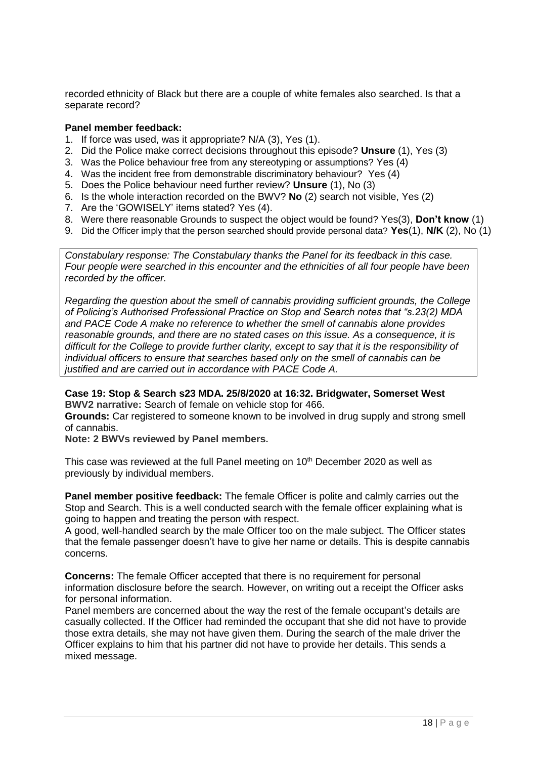recorded ethnicity of Black but there are a couple of white females also searched. Is that a separate record?

#### **Panel member feedback:**

- 1. If force was used, was it appropriate? N/A (3), Yes (1).
- 2. Did the Police make correct decisions throughout this episode? **Unsure** (1), Yes (3)
- 3. Was the Police behaviour free from any stereotyping or assumptions? Yes (4)
- 4. Was the incident free from demonstrable discriminatory behaviour? Yes (4)
- 5. Does the Police behaviour need further review? **Unsure** (1), No (3)
- 6. Is the whole interaction recorded on the BWV? **No** (2) search not visible, Yes (2)
- 7. Are the 'GOWISELY' items stated? Yes (4).
- 8. Were there reasonable Grounds to suspect the object would be found? Yes(3), **Don't know** (1)
- 9. Did the Officer imply that the person searched should provide personal data? **Yes**(1), **N/K** (2), No (1)

*Constabulary response: The Constabulary thanks the Panel for its feedback in this case. Four people were searched in this encounter and the ethnicities of all four people have been recorded by the officer.* 

*Regarding the question about the smell of cannabis providing sufficient grounds, the College of Policing's Authorised Professional Practice on Stop and Search notes that "s.23(2) MDA and PACE Code A make no reference to whether the smell of cannabis alone provides reasonable grounds, and there are no stated cases on this issue. As a consequence, it is difficult for the College to provide further clarity, except to say that it is the responsibility of individual officers to ensure that searches based only on the smell of cannabis can be justified and are carried out in accordance with PACE Code A.*

#### **Case 19: Stop & Search s23 MDA. 25/8/2020 at 16:32. Bridgwater, Somerset West BWV2 narrative:** Search of female on vehicle stop for 466.

**Grounds:** Car registered to someone known to be involved in drug supply and strong smell of cannabis.

**Note: 2 BWVs reviewed by Panel members.** 

This case was reviewed at the full Panel meeting on 10<sup>th</sup> December 2020 as well as previously by individual members.

**Panel member positive feedback:** The female Officer is polite and calmly carries out the Stop and Search. This is a well conducted search with the female officer explaining what is going to happen and treating the person with respect.

A good, well-handled search by the male Officer too on the male subject. The Officer states that the female passenger doesn't have to give her name or details. This is despite cannabis concerns.

**Concerns:** The female Officer accepted that there is no requirement for personal information disclosure before the search. However, on writing out a receipt the Officer asks for personal information.

Panel members are concerned about the way the rest of the female occupant's details are casually collected. If the Officer had reminded the occupant that she did not have to provide those extra details, she may not have given them. During the search of the male driver the Officer explains to him that his partner did not have to provide her details. This sends a mixed message.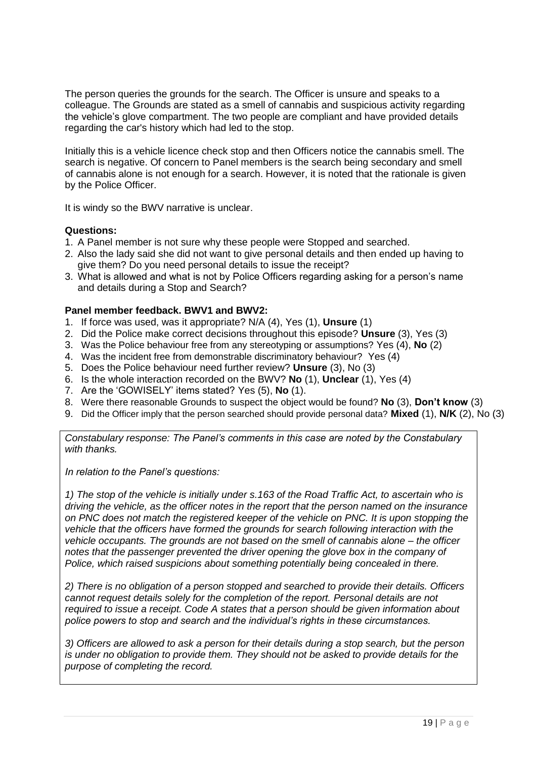The person queries the grounds for the search. The Officer is unsure and speaks to a colleague. The Grounds are stated as a smell of cannabis and suspicious activity regarding the vehicle's glove compartment. The two people are compliant and have provided details regarding the car's history which had led to the stop.

Initially this is a vehicle licence check stop and then Officers notice the cannabis smell. The search is negative. Of concern to Panel members is the search being secondary and smell of cannabis alone is not enough for a search. However, it is noted that the rationale is given by the Police Officer.

It is windy so the BWV narrative is unclear.

#### **Questions:**

- 1. A Panel member is not sure why these people were Stopped and searched.
- 2. Also the lady said she did not want to give personal details and then ended up having to give them? Do you need personal details to issue the receipt?
- 3. What is allowed and what is not by Police Officers regarding asking for a person's name and details during a Stop and Search?

#### **Panel member feedback. BWV1 and BWV2:**

- 1. If force was used, was it appropriate? N/A (4), Yes (1), **Unsure** (1)
- 2. Did the Police make correct decisions throughout this episode? **Unsure** (3), Yes (3)
- 3. Was the Police behaviour free from any stereotyping or assumptions? Yes (4), **No** (2)
- 4. Was the incident free from demonstrable discriminatory behaviour? Yes (4)
- 5. Does the Police behaviour need further review? **Unsure** (3), No (3)
- 6. Is the whole interaction recorded on the BWV? **No** (1), **Unclear** (1), Yes (4)
- 7. Are the 'GOWISELY' items stated? Yes (5), **No** (1).
- 8. Were there reasonable Grounds to suspect the object would be found? **No** (3), **Don't know** (3)
- 9. Did the Officer imply that the person searched should provide personal data? **Mixed** (1), **N/K** (2), No (3)

*Constabulary response: The Panel's comments in this case are noted by the Constabulary with thanks.* 

*In relation to the Panel's questions:*

*1) The stop of the vehicle is initially under s.163 of the Road Traffic Act, to ascertain who is driving the vehicle, as the officer notes in the report that the person named on the insurance on PNC does not match the registered keeper of the vehicle on PNC. It is upon stopping the vehicle that the officers have formed the grounds for search following interaction with the vehicle occupants. The grounds are not based on the smell of cannabis alone – the officer notes that the passenger prevented the driver opening the glove box in the company of Police, which raised suspicions about something potentially being concealed in there.*

*2) There is no obligation of a person stopped and searched to provide their details. Officers cannot request details solely for the completion of the report. Personal details are not required to issue a receipt. Code A states that a person should be given information about police powers to stop and search and the individual's rights in these circumstances.* 

*3) Officers are allowed to ask a person for their details during a stop search, but the person is under no obligation to provide them. They should not be asked to provide details for the purpose of completing the record.*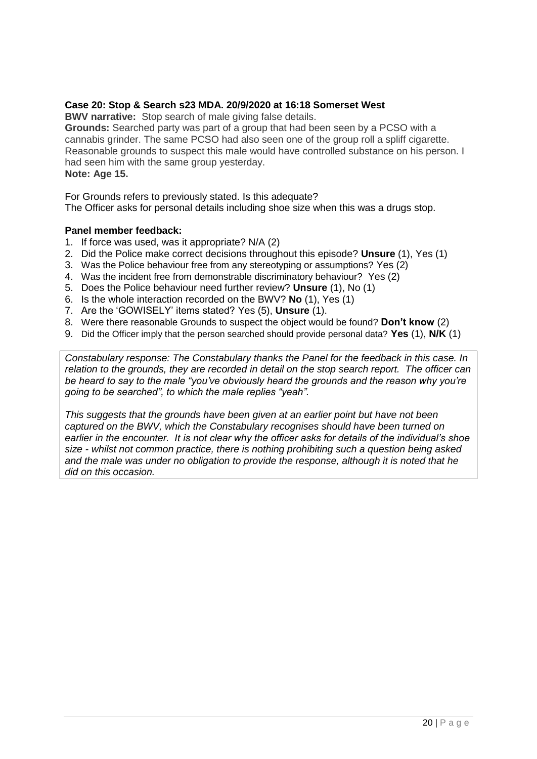#### **Case 20: Stop & Search s23 MDA. 20/9/2020 at 16:18 Somerset West**

**BWV narrative:** Stop search of male giving false details.

**Grounds:** Searched party was part of a group that had been seen by a PCSO with a cannabis grinder. The same PCSO had also seen one of the group roll a spliff cigarette. Reasonable grounds to suspect this male would have controlled substance on his person. I had seen him with the same group yesterday. **Note: Age 15.** 

For Grounds refers to previously stated. Is this adequate? The Officer asks for personal details including shoe size when this was a drugs stop.

#### **Panel member feedback:**

- 1. If force was used, was it appropriate? N/A (2)
- 2. Did the Police make correct decisions throughout this episode? **Unsure** (1), Yes (1)
- 3. Was the Police behaviour free from any stereotyping or assumptions? Yes (2)
- 4. Was the incident free from demonstrable discriminatory behaviour? Yes (2)
- 5. Does the Police behaviour need further review? **Unsure** (1), No (1)
- 6. Is the whole interaction recorded on the BWV? **No** (1), Yes (1)
- 7. Are the 'GOWISELY' items stated? Yes (5), **Unsure** (1).
- 8. Were there reasonable Grounds to suspect the object would be found? **Don't know** (2)
- 9. Did the Officer imply that the person searched should provide personal data? **Yes** (1), **N/K** (1)

*Constabulary response: The Constabulary thanks the Panel for the feedback in this case. In relation to the grounds, they are recorded in detail on the stop search report. The officer can be heard to say to the male "you've obviously heard the grounds and the reason why you're going to be searched", to which the male replies "yeah".* 

*This suggests that the grounds have been given at an earlier point but have not been captured on the BWV, which the Constabulary recognises should have been turned on earlier in the encounter. It is not clear why the officer asks for details of the individual's shoe size - whilst not common practice, there is nothing prohibiting such a question being asked and the male was under no obligation to provide the response, although it is noted that he did on this occasion.*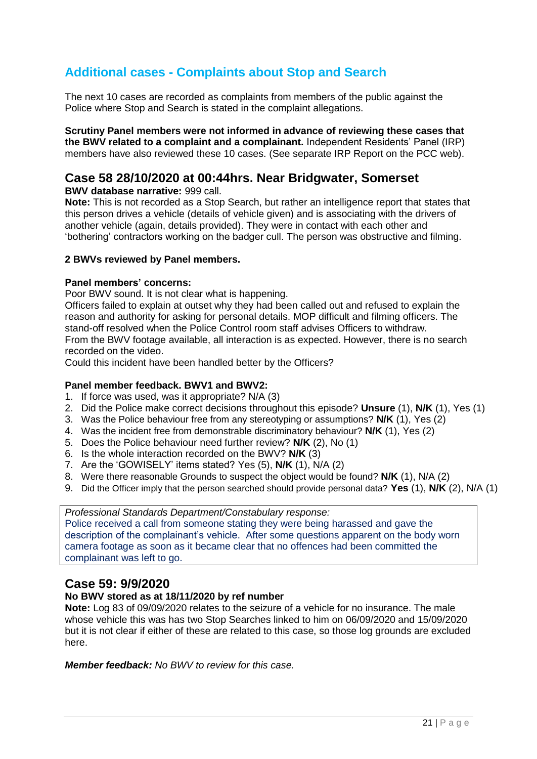## **Additional cases - Complaints about Stop and Search**

The next 10 cases are recorded as complaints from members of the public against the Police where Stop and Search is stated in the complaint allegations.

**Scrutiny Panel members were not informed in advance of reviewing these cases that the BWV related to a complaint and a complainant.** Independent Residents' Panel (IRP) members have also reviewed these 10 cases. (See separate IRP Report on the PCC web).

## **Case 58 28/10/2020 at 00:44hrs. Near Bridgwater, Somerset**

**BWV database narrative:** 999 call.

**Note:** This is not recorded as a Stop Search, but rather an intelligence report that states that this person drives a vehicle (details of vehicle given) and is associating with the drivers of another vehicle (again, details provided). They were in contact with each other and 'bothering' contractors working on the badger cull. The person was obstructive and filming.

#### **2 BWVs reviewed by Panel members.**

#### **Panel members' concerns:**

Poor BWV sound. It is not clear what is happening.

Officers failed to explain at outset why they had been called out and refused to explain the reason and authority for asking for personal details. MOP difficult and filming officers. The stand-off resolved when the Police Control room staff advises Officers to withdraw. From the BWV footage available, all interaction is as expected. However, there is no search recorded on the video.

Could this incident have been handled better by the Officers?

#### **Panel member feedback. BWV1 and BWV2:**

- 1. If force was used, was it appropriate? N/A (3)
- 2. Did the Police make correct decisions throughout this episode? **Unsure** (1), **N/K** (1), Yes (1)
- 3. Was the Police behaviour free from any stereotyping or assumptions? **N/K** (1), Yes (2)
- 4. Was the incident free from demonstrable discriminatory behaviour? **N/K** (1), Yes (2)
- 5. Does the Police behaviour need further review? **N/K** (2), No (1)
- 6. Is the whole interaction recorded on the BWV? **N/K** (3)
- 7. Are the 'GOWISELY' items stated? Yes (5), **N/K** (1), N/A (2)
- 8. Were there reasonable Grounds to suspect the object would be found? **N/K** (1), N/A (2)
- 9. Did the Officer imply that the person searched should provide personal data? **Yes** (1), **N/K** (2), N/A (1)

*Professional Standards Department/Constabulary response:* 

Police received a call from someone stating they were being harassed and gave the description of the complainant's vehicle. After some questions apparent on the body worn camera footage as soon as it became clear that no offences had been committed the complainant was left to go.

#### **Case 59: 9/9/2020**

#### **No BWV stored as at 18/11/2020 by ref number**

**Note:** Log 83 of 09/09/2020 relates to the seizure of a vehicle for no insurance. The male whose vehicle this was has two Stop Searches linked to him on 06/09/2020 and 15/09/2020 but it is not clear if either of these are related to this case, so those log grounds are excluded here.

*Member feedback: No BWV to review for this case.*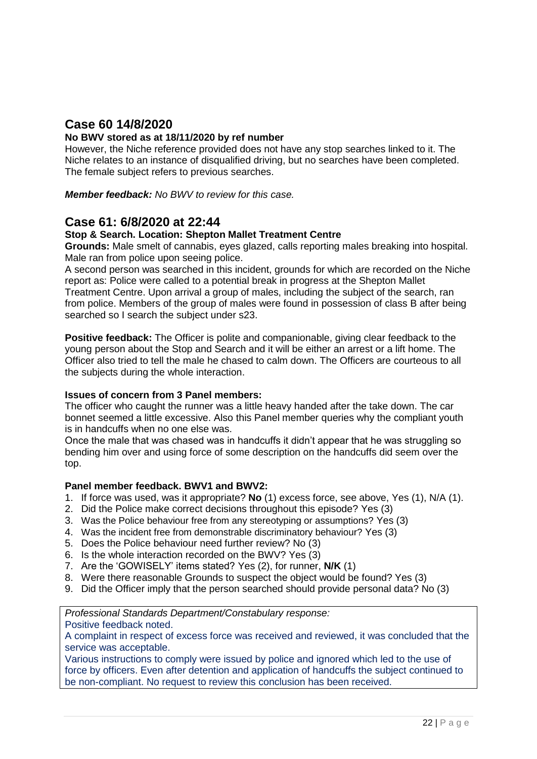## **Case 60 14/8/2020**

#### **No BWV stored as at 18/11/2020 by ref number**

However, the Niche reference provided does not have any stop searches linked to it. The Niche relates to an instance of disqualified driving, but no searches have been completed. The female subject refers to previous searches.

*Member feedback: No BWV to review for this case.*

#### **Case 61: 6/8/2020 at 22:44**

#### **Stop & Search. Location: Shepton Mallet Treatment Centre**

**Grounds:** Male smelt of cannabis, eyes glazed, calls reporting males breaking into hospital. Male ran from police upon seeing police.

A second person was searched in this incident, grounds for which are recorded on the Niche report as: Police were called to a potential break in progress at the Shepton Mallet Treatment Centre. Upon arrival a group of males, including the subject of the search, ran from police. Members of the group of males were found in possession of class B after being searched so I search the subject under s23.

**Positive feedback:** The Officer is polite and companionable, giving clear feedback to the young person about the Stop and Search and it will be either an arrest or a lift home. The Officer also tried to tell the male he chased to calm down. The Officers are courteous to all the subjects during the whole interaction.

#### **Issues of concern from 3 Panel members:**

The officer who caught the runner was a little heavy handed after the take down. The car bonnet seemed a little excessive. Also this Panel member queries why the compliant youth is in handcuffs when no one else was.

Once the male that was chased was in handcuffs it didn't appear that he was struggling so bending him over and using force of some description on the handcuffs did seem over the top.

#### **Panel member feedback. BWV1 and BWV2:**

- 1. If force was used, was it appropriate? **No** (1) excess force, see above, Yes (1), N/A (1).
- 2. Did the Police make correct decisions throughout this episode? Yes (3)
- 3. Was the Police behaviour free from any stereotyping or assumptions? Yes (3)
- 4. Was the incident free from demonstrable discriminatory behaviour? Yes (3)
- 5. Does the Police behaviour need further review? No (3)
- 6. Is the whole interaction recorded on the BWV? Yes (3)
- 7. Are the 'GOWISELY' items stated? Yes (2), for runner, **N/K** (1)
- 8. Were there reasonable Grounds to suspect the object would be found? Yes (3)
- 9. Did the Officer imply that the person searched should provide personal data? No (3)

*Professional Standards Department/Constabulary response:* 

Positive feedback noted.

A complaint in respect of excess force was received and reviewed, it was concluded that the service was acceptable.

Various instructions to comply were issued by police and ignored which led to the use of force by officers. Even after detention and application of handcuffs the subject continued to be non-compliant. No request to review this conclusion has been received.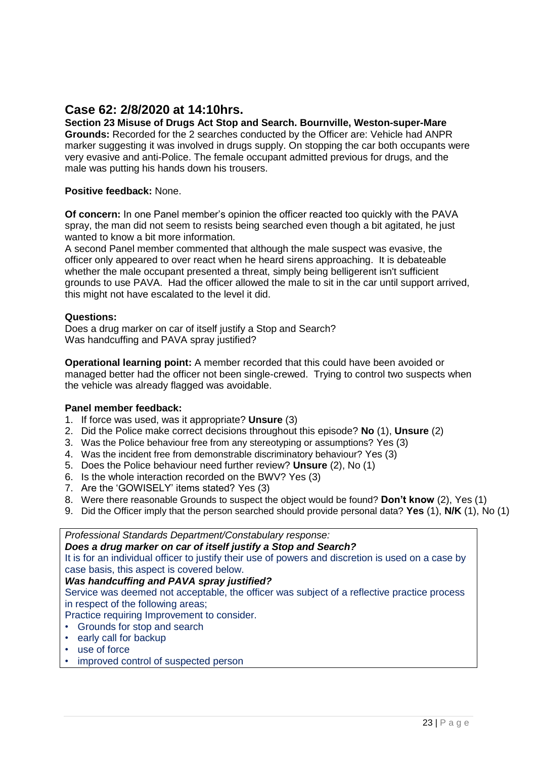## **Case 62: 2/8/2020 at 14:10hrs.**

#### **Section 23 Misuse of Drugs Act Stop and Search. Bournville, Weston-super-Mare Grounds:** Recorded for the 2 searches conducted by the Officer are: Vehicle had ANPR marker suggesting it was involved in drugs supply. On stopping the car both occupants were very evasive and anti-Police. The female occupant admitted previous for drugs, and the male was putting his hands down his trousers.

#### **Positive feedback:** None.

**Of concern:** In one Panel member's opinion the officer reacted too quickly with the PAVA spray, the man did not seem to resists being searched even though a bit agitated, he just wanted to know a bit more information.

A second Panel member commented that although the male suspect was evasive, the officer only appeared to over react when he heard sirens approaching. It is debateable whether the male occupant presented a threat, simply being belligerent isn't sufficient grounds to use PAVA. Had the officer allowed the male to sit in the car until support arrived, this might not have escalated to the level it did.

#### **Questions:**

Does a drug marker on car of itself justify a Stop and Search? Was handcuffing and PAVA spray justified?

**Operational learning point:** A member recorded that this could have been avoided or managed better had the officer not been single-crewed. Trying to control two suspects when the vehicle was already flagged was avoidable.

#### **Panel member feedback:**

- 1. If force was used, was it appropriate? **Unsure** (3)
- 2. Did the Police make correct decisions throughout this episode? **No** (1), **Unsure** (2)
- 3. Was the Police behaviour free from any stereotyping or assumptions? Yes (3)
- 4. Was the incident free from demonstrable discriminatory behaviour? Yes (3)
- 5. Does the Police behaviour need further review? **Unsure** (2), No (1)
- 6. Is the whole interaction recorded on the BWV? Yes (3)
- 7. Are the 'GOWISELY' items stated? Yes (3)
- 8. Were there reasonable Grounds to suspect the object would be found? **Don't know** (2), Yes (1)
- 9. Did the Officer imply that the person searched should provide personal data? **Yes** (1), **N/K** (1), No (1)

*Professional Standards Department/Constabulary response: Does a drug marker on car of itself justify a Stop and Search?*  It is for an individual officer to justify their use of powers and discretion is used on a case by case basis, this aspect is covered below. *Was handcuffing and PAVA spray justified?* Service was deemed not acceptable, the officer was subject of a reflective practice process in respect of the following areas;

Practice requiring Improvement to consider.

- Grounds for stop and search
- early call for backup
- use of force
- improved control of suspected person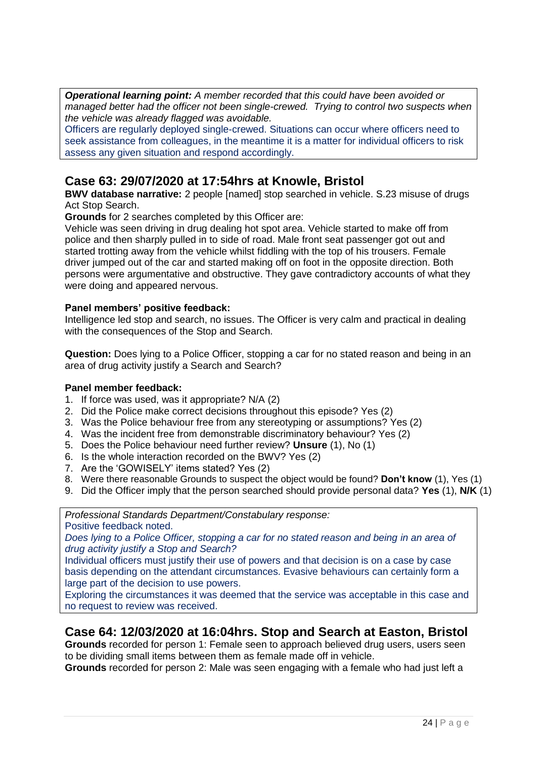*Operational learning point: A member recorded that this could have been avoided or managed better had the officer not been single-crewed. Trying to control two suspects when the vehicle was already flagged was avoidable.*

Officers are regularly deployed single-crewed. Situations can occur where officers need to seek assistance from colleagues, in the meantime it is a matter for individual officers to risk assess any given situation and respond accordingly.

## **Case 63: 29/07/2020 at 17:54hrs at Knowle, Bristol**

**BWV database narrative:** 2 people [named] stop searched in vehicle. S.23 misuse of drugs Act Stop Search.

**Grounds** for 2 searches completed by this Officer are:

Vehicle was seen driving in drug dealing hot spot area. Vehicle started to make off from police and then sharply pulled in to side of road. Male front seat passenger got out and started trotting away from the vehicle whilst fiddling with the top of his trousers. Female driver jumped out of the car and started making off on foot in the opposite direction. Both persons were argumentative and obstructive. They gave contradictory accounts of what they were doing and appeared nervous.

#### **Panel members' positive feedback:**

Intelligence led stop and search, no issues. The Officer is very calm and practical in dealing with the consequences of the Stop and Search.

**Question:** Does lying to a Police Officer, stopping a car for no stated reason and being in an area of drug activity justify a Search and Search?

#### **Panel member feedback:**

- 1. If force was used, was it appropriate? N/A (2)
- 2. Did the Police make correct decisions throughout this episode? Yes (2)
- 3. Was the Police behaviour free from any stereotyping or assumptions? Yes (2)
- 4. Was the incident free from demonstrable discriminatory behaviour? Yes (2)
- 5. Does the Police behaviour need further review? **Unsure** (1), No (1)
- 6. Is the whole interaction recorded on the BWV? Yes (2)
- 7. Are the 'GOWISELY' items stated? Yes (2)
- 8. Were there reasonable Grounds to suspect the object would be found? **Don't know** (1), Yes (1)
- 9. Did the Officer imply that the person searched should provide personal data? **Yes** (1), **N/K** (1)

*Professional Standards Department/Constabulary response:* 

Positive feedback noted.

*Does lying to a Police Officer, stopping a car for no stated reason and being in an area of drug activity justify a Stop and Search?*

Individual officers must justify their use of powers and that decision is on a case by case basis depending on the attendant circumstances. Evasive behaviours can certainly form a large part of the decision to use powers.

Exploring the circumstances it was deemed that the service was acceptable in this case and no request to review was received.

#### **Case 64: 12/03/2020 at 16:04hrs. Stop and Search at Easton, Bristol**

**Grounds** recorded for person 1: Female seen to approach believed drug users, users seen to be dividing small items between them as female made off in vehicle.

**Grounds** recorded for person 2: Male was seen engaging with a female who had just left a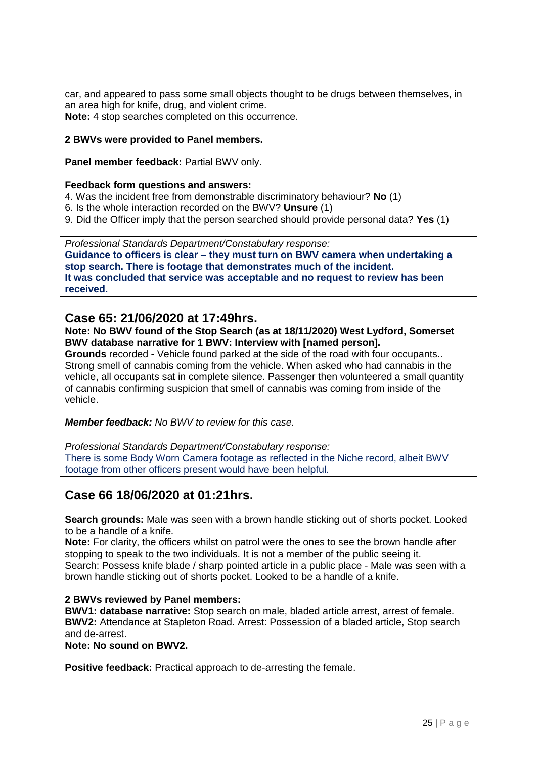car, and appeared to pass some small objects thought to be drugs between themselves, in an area high for knife, drug, and violent crime. **Note:** 4 stop searches completed on this occurrence.

#### **2 BWVs were provided to Panel members.**

**Panel member feedback: Partial BWV only.** 

#### **Feedback form questions and answers:**

- 4. Was the incident free from demonstrable discriminatory behaviour? **No** (1)
- 6. Is the whole interaction recorded on the BWV? **Unsure** (1)
- 9. Did the Officer imply that the person searched should provide personal data? **Yes** (1)

*Professional Standards Department/Constabulary response:*  **Guidance to officers is clear – they must turn on BWV camera when undertaking a stop search. There is footage that demonstrates much of the incident. It was concluded that service was acceptable and no request to review has been received.**

#### **Case 65: 21/06/2020 at 17:49hrs.**

#### **Note: No BWV found of the Stop Search (as at 18/11/2020) West Lydford, Somerset BWV database narrative for 1 BWV: Interview with [named person].**

**Grounds** recorded - Vehicle found parked at the side of the road with four occupants.. Strong smell of cannabis coming from the vehicle. When asked who had cannabis in the vehicle, all occupants sat in complete silence. Passenger then volunteered a small quantity of cannabis confirming suspicion that smell of cannabis was coming from inside of the vehicle.

*Member feedback: No BWV to review for this case.*

*Professional Standards Department/Constabulary response:*  There is some Body Worn Camera footage as reflected in the Niche record, albeit BWV footage from other officers present would have been helpful.

## **Case 66 18/06/2020 at 01:21hrs.**

**Search grounds:** Male was seen with a brown handle sticking out of shorts pocket. Looked to be a handle of a knife.

**Note:** For clarity, the officers whilst on patrol were the ones to see the brown handle after stopping to speak to the two individuals. It is not a member of the public seeing it. Search: Possess knife blade / sharp pointed article in a public place - Male was seen with a brown handle sticking out of shorts pocket. Looked to be a handle of a knife.

#### **2 BWVs reviewed by Panel members:**

**BWV1: database narrative:** Stop search on male, bladed article arrest, arrest of female. **BWV2:** Attendance at Stapleton Road. Arrest: Possession of a bladed article, Stop search and de-arrest.

**Note: No sound on BWV2.**

**Positive feedback:** Practical approach to de-arresting the female.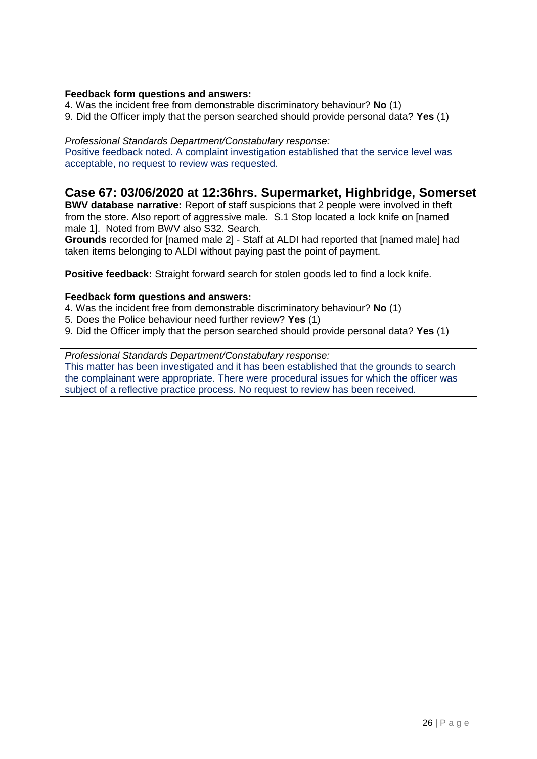#### **Feedback form questions and answers:**

- 4. Was the incident free from demonstrable discriminatory behaviour? **No** (1)
- 9. Did the Officer imply that the person searched should provide personal data? **Yes** (1)

*Professional Standards Department/Constabulary response:*  Positive feedback noted. A complaint investigation established that the service level was acceptable, no request to review was requested.

## **Case 67: 03/06/2020 at 12:36hrs. Supermarket, Highbridge, Somerset**

**BWV database narrative:** Report of staff suspicions that 2 people were involved in theft from the store. Also report of aggressive male. S.1 Stop located a lock knife on [named male 1]. Noted from BWV also S32. Search.

**Grounds** recorded for [named male 2] - Staff at ALDI had reported that [named male] had taken items belonging to ALDI without paying past the point of payment.

**Positive feedback:** Straight forward search for stolen goods led to find a lock knife.

#### **Feedback form questions and answers:**

- 4. Was the incident free from demonstrable discriminatory behaviour? **No** (1)
- 5. Does the Police behaviour need further review? **Yes** (1)
- 9. Did the Officer imply that the person searched should provide personal data? **Yes** (1)

*Professional Standards Department/Constabulary response:*  This matter has been investigated and it has been established that the grounds to search the complainant were appropriate. There were procedural issues for which the officer was subject of a reflective practice process. No request to review has been received.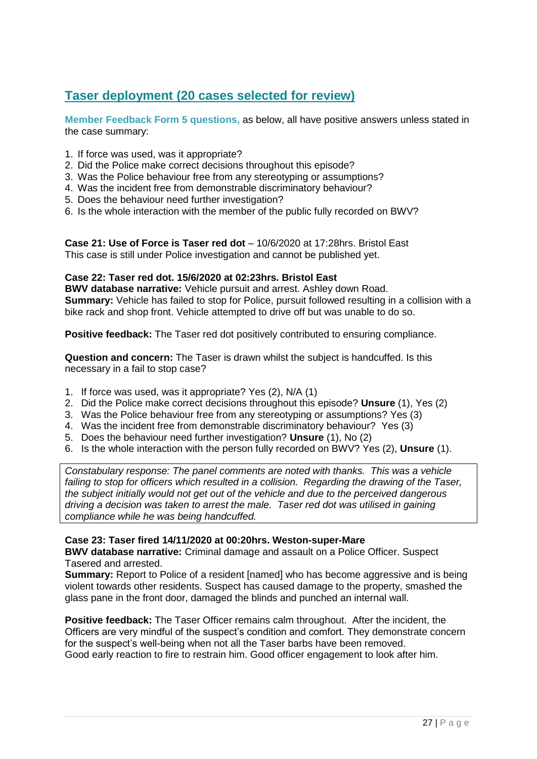## **Taser deployment (20 cases selected for review)**

**Member Feedback Form 5 questions,** as below, all have positive answers unless stated in the case summary:

- 1. If force was used, was it appropriate?
- 2. Did the Police make correct decisions throughout this episode?
- 3. Was the Police behaviour free from any stereotyping or assumptions?
- 4. Was the incident free from demonstrable discriminatory behaviour?
- 5. Does the behaviour need further investigation?
- 6. Is the whole interaction with the member of the public fully recorded on BWV?

**Case 21: Use of Force is Taser red dot** – 10/6/2020 at 17:28hrs. Bristol East This case is still under Police investigation and cannot be published yet.

#### **Case 22: Taser red dot. 15/6/2020 at 02:23hrs. Bristol East**

**BWV database narrative:** Vehicle pursuit and arrest. Ashley down Road. **Summary:** Vehicle has failed to stop for Police, pursuit followed resulting in a collision with a bike rack and shop front. Vehicle attempted to drive off but was unable to do so.

**Positive feedback:** The Taser red dot positively contributed to ensuring compliance.

**Question and concern:** The Taser is drawn whilst the subject is handcuffed. Is this necessary in a fail to stop case?

- 1. If force was used, was it appropriate? Yes (2), N/A (1)
- 2. Did the Police make correct decisions throughout this episode? **Unsure** (1), Yes (2)
- 3. Was the Police behaviour free from any stereotyping or assumptions? Yes (3)
- 4. Was the incident free from demonstrable discriminatory behaviour? Yes (3)
- 5. Does the behaviour need further investigation? **Unsure** (1), No (2)
- 6. Is the whole interaction with the person fully recorded on BWV? Yes (2), **Unsure** (1).

*Constabulary response: The panel comments are noted with thanks. This was a vehicle*  failing to stop for officers which resulted in a collision. Regarding the drawing of the Taser, *the subject initially would not get out of the vehicle and due to the perceived dangerous driving a decision was taken to arrest the male. Taser red dot was utilised in gaining compliance while he was being handcuffed.*

#### **Case 23: Taser fired 14/11/2020 at 00:20hrs. Weston-super-Mare**

**BWV database narrative:** Criminal damage and assault on a Police Officer. Suspect Tasered and arrested.

**Summary:** Report to Police of a resident [named] who has become aggressive and is being violent towards other residents. Suspect has caused damage to the property, smashed the glass pane in the front door, damaged the blinds and punched an internal wall.

**Positive feedback:** The Taser Officer remains calm throughout. After the incident, the Officers are very mindful of the suspect's condition and comfort. They demonstrate concern for the suspect's well-being when not all the Taser barbs have been removed. Good early reaction to fire to restrain him. Good officer engagement to look after him.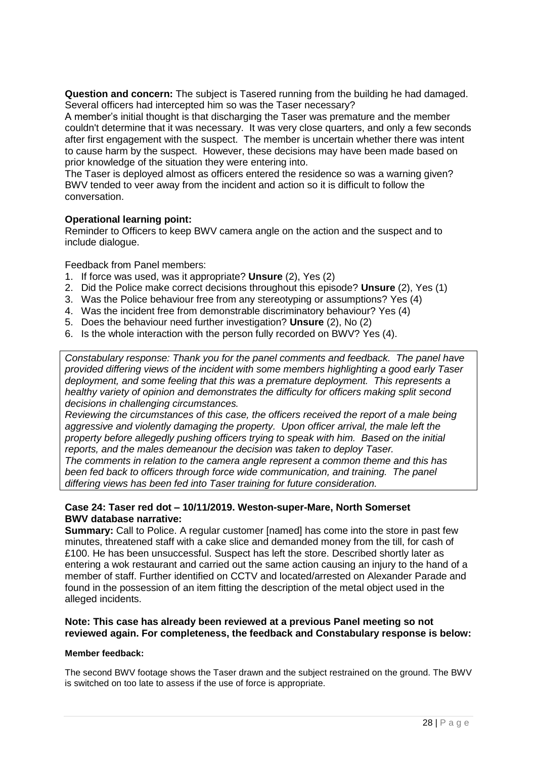**Question and concern:** The subject is Tasered running from the building he had damaged. Several officers had intercepted him so was the Taser necessary?

A member's initial thought is that discharging the Taser was premature and the member couldn't determine that it was necessary. It was very close quarters, and only a few seconds after first engagement with the suspect. The member is uncertain whether there was intent to cause harm by the suspect. However, these decisions may have been made based on prior knowledge of the situation they were entering into.

The Taser is deployed almost as officers entered the residence so was a warning given? BWV tended to veer away from the incident and action so it is difficult to follow the conversation.

#### **Operational learning point:**

Reminder to Officers to keep BWV camera angle on the action and the suspect and to include dialogue.

Feedback from Panel members:

- 1. If force was used, was it appropriate? **Unsure** (2), Yes (2)
- 2. Did the Police make correct decisions throughout this episode? **Unsure** (2), Yes (1)
- 3. Was the Police behaviour free from any stereotyping or assumptions? Yes (4)
- 4. Was the incident free from demonstrable discriminatory behaviour? Yes (4)
- 5. Does the behaviour need further investigation? **Unsure** (2), No (2)
- 6. Is the whole interaction with the person fully recorded on BWV? Yes (4).

*Constabulary response: Thank you for the panel comments and feedback. The panel have provided differing views of the incident with some members highlighting a good early Taser deployment, and some feeling that this was a premature deployment. This represents a healthy variety of opinion and demonstrates the difficulty for officers making split second decisions in challenging circumstances.*

*Reviewing the circumstances of this case, the officers received the report of a male being aggressive and violently damaging the property. Upon officer arrival, the male left the property before allegedly pushing officers trying to speak with him. Based on the initial reports, and the males demeanour the decision was taken to deploy Taser.*

*The comments in relation to the camera angle represent a common theme and this has been fed back to officers through force wide communication, and training. The panel differing views has been fed into Taser training for future consideration.*

#### **Case 24: Taser red dot – 10/11/2019. Weston-super-Mare, North Somerset BWV database narrative:**

**Summary:** Call to Police. A regular customer [named] has come into the store in past few minutes, threatened staff with a cake slice and demanded money from the till, for cash of £100. He has been unsuccessful. Suspect has left the store. Described shortly later as entering a wok restaurant and carried out the same action causing an injury to the hand of a member of staff. Further identified on CCTV and located/arrested on Alexander Parade and found in the possession of an item fitting the description of the metal object used in the alleged incidents.

#### **Note: This case has already been reviewed at a previous Panel meeting so not reviewed again. For completeness, the feedback and Constabulary response is below:**

#### **Member feedback:**

The second BWV footage shows the Taser drawn and the subject restrained on the ground. The BWV is switched on too late to assess if the use of force is appropriate.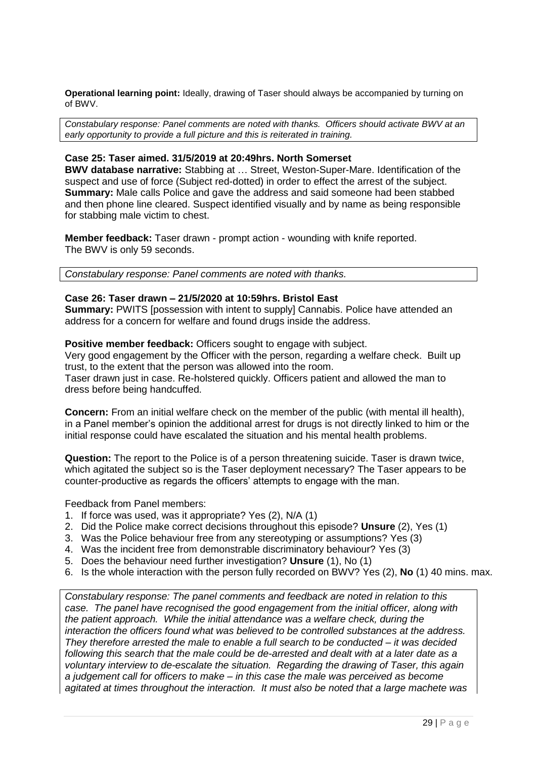**Operational learning point:** Ideally, drawing of Taser should always be accompanied by turning on of BWV.

*Constabulary response: Panel comments are noted with thanks. Officers should activate BWV at an early opportunity to provide a full picture and this is reiterated in training.*

#### **Case 25: Taser aimed. 31/5/2019 at 20:49hrs. North Somerset**

**BWV database narrative:** Stabbing at … Street, Weston-Super-Mare. Identification of the suspect and use of force (Subject red-dotted) in order to effect the arrest of the subject. **Summary:** Male calls Police and gave the address and said someone had been stabbed and then phone line cleared. Suspect identified visually and by name as being responsible for stabbing male victim to chest.

**Member feedback:** Taser drawn - prompt action - wounding with knife reported. The BWV is only 59 seconds.

*Constabulary response: Panel comments are noted with thanks.*

#### **Case 26: Taser drawn – 21/5/2020 at 10:59hrs. Bristol East**

**Summary:** PWITS [possession with intent to supply] Cannabis. Police have attended an address for a concern for welfare and found drugs inside the address.

**Positive member feedback:** Officers sought to engage with subject.

Very good engagement by the Officer with the person, regarding a welfare check. Built up trust, to the extent that the person was allowed into the room.

Taser drawn just in case. Re-holstered quickly. Officers patient and allowed the man to dress before being handcuffed.

**Concern:** From an initial welfare check on the member of the public (with mental ill health), in a Panel member's opinion the additional arrest for drugs is not directly linked to him or the initial response could have escalated the situation and his mental health problems.

**Question:** The report to the Police is of a person threatening suicide. Taser is drawn twice, which agitated the subject so is the Taser deployment necessary? The Taser appears to be counter-productive as regards the officers' attempts to engage with the man.

Feedback from Panel members:

- 1. If force was used, was it appropriate? Yes (2), N/A (1)
- 2. Did the Police make correct decisions throughout this episode? **Unsure** (2), Yes (1)
- 3. Was the Police behaviour free from any stereotyping or assumptions? Yes (3)
- 4. Was the incident free from demonstrable discriminatory behaviour? Yes (3)
- 5. Does the behaviour need further investigation? **Unsure** (1), No (1)
- 6. Is the whole interaction with the person fully recorded on BWV? Yes (2), **No** (1) 40 mins. max.

*Constabulary response: The panel comments and feedback are noted in relation to this case. The panel have recognised the good engagement from the initial officer, along with the patient approach. While the initial attendance was a welfare check, during the interaction the officers found what was believed to be controlled substances at the address. They therefore arrested the male to enable a full search to be conducted – it was decided following this search that the male could be de-arrested and dealt with at a later date as a voluntary interview to de-escalate the situation. Regarding the drawing of Taser, this again a judgement call for officers to make – in this case the male was perceived as become agitated at times throughout the interaction. It must also be noted that a large machete was*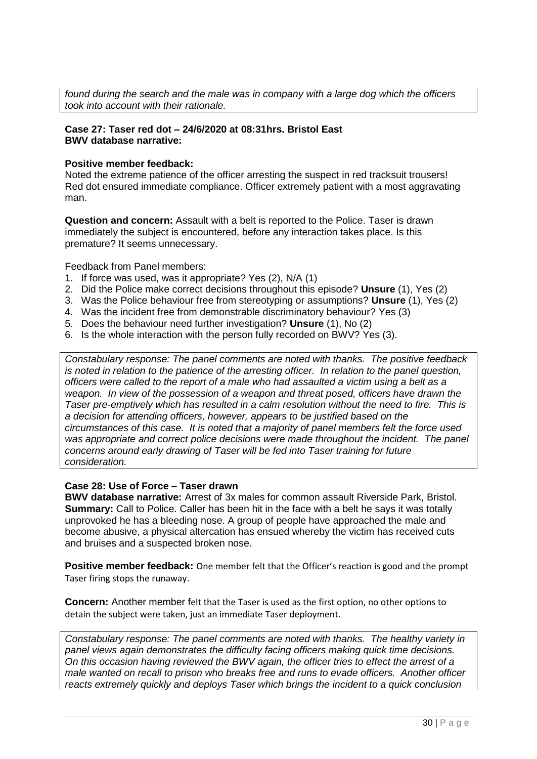*found during the search and the male was in company with a large dog which the officers took into account with their rationale.*

#### **Case 27: Taser red dot – 24/6/2020 at 08:31hrs. Bristol East BWV database narrative:**

#### **Positive member feedback:**

Noted the extreme patience of the officer arresting the suspect in red tracksuit trousers! Red dot ensured immediate compliance. Officer extremely patient with a most aggravating man.

**Question and concern:** Assault with a belt is reported to the Police. Taser is drawn immediately the subject is encountered, before any interaction takes place. Is this premature? It seems unnecessary.

Feedback from Panel members:

- 1. If force was used, was it appropriate? Yes (2), N/A (1)
- 2. Did the Police make correct decisions throughout this episode? **Unsure** (1), Yes (2)
- 3. Was the Police behaviour free from stereotyping or assumptions? **Unsure** (1), Yes (2)
- 4. Was the incident free from demonstrable discriminatory behaviour? Yes (3)
- 5. Does the behaviour need further investigation? **Unsure** (1), No (2)
- 6. Is the whole interaction with the person fully recorded on BWV? Yes (3).

*Constabulary response: The panel comments are noted with thanks. The positive feedback is noted in relation to the patience of the arresting officer. In relation to the panel question, officers were called to the report of a male who had assaulted a victim using a belt as a weapon. In view of the possession of a weapon and threat posed, officers have drawn the Taser pre-emptively which has resulted in a calm resolution without the need to fire. This is a decision for attending officers, however, appears to be justified based on the circumstances of this case. It is noted that a majority of panel members felt the force used was appropriate and correct police decisions were made throughout the incident. The panel concerns around early drawing of Taser will be fed into Taser training for future consideration.*

#### **Case 28: Use of Force – Taser drawn**

**BWV database narrative:** Arrest of 3x males for common assault Riverside Park, Bristol. **Summary:** Call to Police. Caller has been hit in the face with a belt he says it was totally unprovoked he has a bleeding nose. A group of people have approached the male and become abusive, a physical altercation has ensued whereby the victim has received cuts and bruises and a suspected broken nose.

**Positive member feedback:** One member felt that the Officer's reaction is good and the prompt Taser firing stops the runaway.

**Concern:** Another member felt that the Taser is used as the first option, no other options to detain the subject were taken, just an immediate Taser deployment.

*Constabulary response: The panel comments are noted with thanks. The healthy variety in panel views again demonstrates the difficulty facing officers making quick time decisions. On this occasion having reviewed the BWV again, the officer tries to effect the arrest of a male wanted on recall to prison who breaks free and runs to evade officers. Another officer reacts extremely quickly and deploys Taser which brings the incident to a quick conclusion*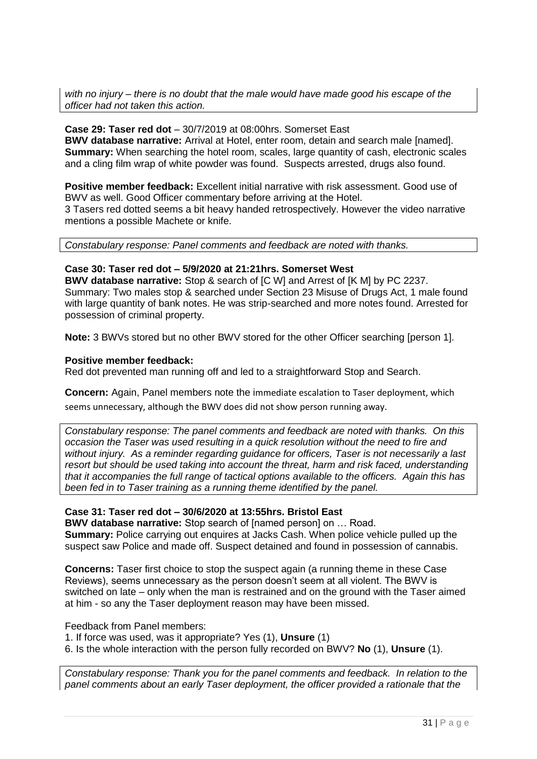*with no injury – there is no doubt that the male would have made good his escape of the officer had not taken this action.*

#### **Case 29: Taser red dot** – 30/7/2019 at 08:00hrs. Somerset East **BWV database narrative:** Arrival at Hotel, enter room, detain and search male [named]. **Summary:** When searching the hotel room, scales, large quantity of cash, electronic scales and a cling film wrap of white powder was found. Suspects arrested, drugs also found.

**Positive member feedback:** Excellent initial narrative with risk assessment. Good use of BWV as well. Good Officer commentary before arriving at the Hotel.

3 Tasers red dotted seems a bit heavy handed retrospectively. However the video narrative mentions a possible Machete or knife.

*Constabulary response: Panel comments and feedback are noted with thanks.*

#### **Case 30: Taser red dot – 5/9/2020 at 21:21hrs. Somerset West**

**BWV database narrative:** Stop & search of [C W] and Arrest of [K M] by PC 2237. Summary: Two males stop & searched under Section 23 Misuse of Drugs Act, 1 male found with large quantity of bank notes. He was strip-searched and more notes found. Arrested for possession of criminal property.

**Note:** 3 BWVs stored but no other BWV stored for the other Officer searching [person 1].

#### **Positive member feedback:**

Red dot prevented man running off and led to a straightforward Stop and Search.

**Concern:** Again, Panel members note the immediate escalation to Taser deployment, which seems unnecessary, although the BWV does did not show person running away.

*Constabulary response: The panel comments and feedback are noted with thanks. On this occasion the Taser was used resulting in a quick resolution without the need to fire and without injury. As a reminder regarding guidance for officers, Taser is not necessarily a last resort but should be used taking into account the threat, harm and risk faced, understanding that it accompanies the full range of tactical options available to the officers. Again this has been fed in to Taser training as a running theme identified by the panel.*

#### **Case 31: Taser red dot – 30/6/2020 at 13:55hrs. Bristol East**

**BWV database narrative:** Stop search of [named person] on … Road. **Summary:** Police carrying out enquires at Jacks Cash. When police vehicle pulled up the suspect saw Police and made off. Suspect detained and found in possession of cannabis.

**Concerns:** Taser first choice to stop the suspect again (a running theme in these Case Reviews), seems unnecessary as the person doesn't seem at all violent. The BWV is switched on late – only when the man is restrained and on the ground with the Taser aimed at him - so any the Taser deployment reason may have been missed.

Feedback from Panel members:

1. If force was used, was it appropriate? Yes (1), **Unsure** (1)

6. Is the whole interaction with the person fully recorded on BWV? **No** (1), **Unsure** (1).

*Constabulary response: Thank you for the panel comments and feedback. In relation to the panel comments about an early Taser deployment, the officer provided a rationale that the*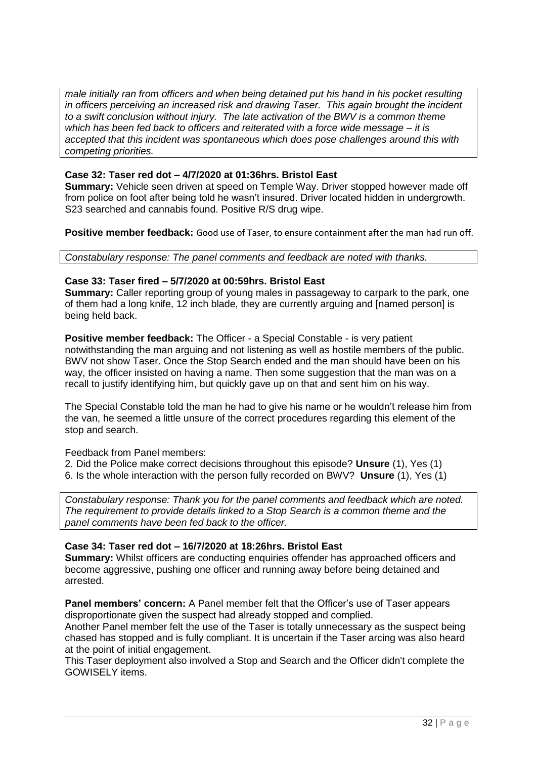*male initially ran from officers and when being detained put his hand in his pocket resulting in officers perceiving an increased risk and drawing Taser. This again brought the incident to a swift conclusion without injury. The late activation of the BWV is a common theme which has been fed back to officers and reiterated with a force wide message – it is accepted that this incident was spontaneous which does pose challenges around this with competing priorities.*

#### **Case 32: Taser red dot – 4/7/2020 at 01:36hrs. Bristol East**

**Summary:** Vehicle seen driven at speed on Temple Way. Driver stopped however made off from police on foot after being told he wasn't insured. Driver located hidden in undergrowth. S23 searched and cannabis found. Positive R/S drug wipe.

**Positive member feedback:** Good use of Taser, to ensure containment after the man had run off.

*Constabulary response: The panel comments and feedback are noted with thanks.*

#### **Case 33: Taser fired – 5/7/2020 at 00:59hrs. Bristol East**

**Summary:** Caller reporting group of young males in passageway to carpark to the park, one of them had a long knife, 12 inch blade, they are currently arguing and [named person] is being held back.

**Positive member feedback:** The Officer - a Special Constable - is very patient notwithstanding the man arguing and not listening as well as hostile members of the public. BWV not show Taser. Once the Stop Search ended and the man should have been on his way, the officer insisted on having a name. Then some suggestion that the man was on a recall to justify identifying him, but quickly gave up on that and sent him on his way.

The Special Constable told the man he had to give his name or he wouldn't release him from the van, he seemed a little unsure of the correct procedures regarding this element of the stop and search.

Feedback from Panel members:

2. Did the Police make correct decisions throughout this episode? **Unsure** (1), Yes (1) 6. Is the whole interaction with the person fully recorded on BWV? **Unsure** (1), Yes (1)

*Constabulary response: Thank you for the panel comments and feedback which are noted. The requirement to provide details linked to a Stop Search is a common theme and the panel comments have been fed back to the officer.*

#### **Case 34: Taser red dot – 16/7/2020 at 18:26hrs. Bristol East**

**Summary:** Whilst officers are conducting enquiries offender has approached officers and become aggressive, pushing one officer and running away before being detained and arrested.

**Panel members' concern:** A Panel member felt that the Officer's use of Taser appears disproportionate given the suspect had already stopped and complied.

Another Panel member felt the use of the Taser is totally unnecessary as the suspect being chased has stopped and is fully compliant. It is uncertain if the Taser arcing was also heard at the point of initial engagement.

This Taser deployment also involved a Stop and Search and the Officer didn't complete the GOWISELY items.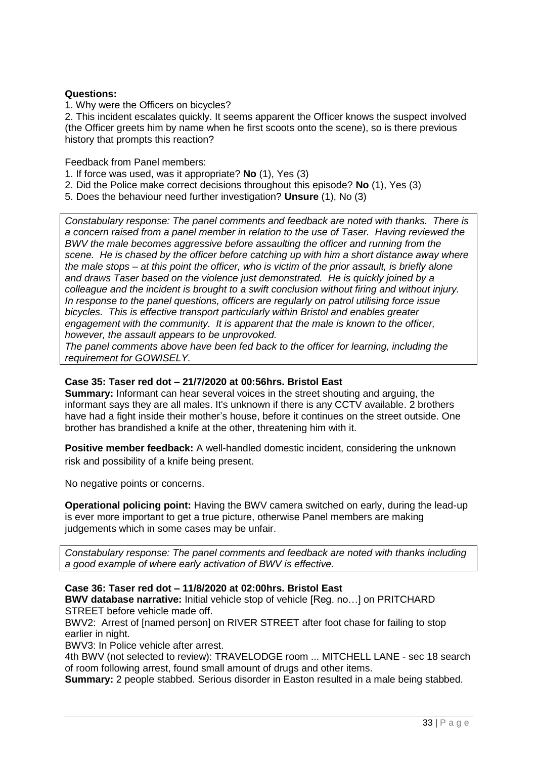#### **Questions:**

1. Why were the Officers on bicycles?

2. This incident escalates quickly. It seems apparent the Officer knows the suspect involved (the Officer greets him by name when he first scoots onto the scene), so is there previous history that prompts this reaction?

Feedback from Panel members:

- 1. If force was used, was it appropriate? **No** (1), Yes (3)
- 2. Did the Police make correct decisions throughout this episode? **No** (1), Yes (3)
- 5. Does the behaviour need further investigation? **Unsure** (1), No (3)

*Constabulary response: The panel comments and feedback are noted with thanks. There is a concern raised from a panel member in relation to the use of Taser. Having reviewed the BWV the male becomes aggressive before assaulting the officer and running from the scene. He is chased by the officer before catching up with him a short distance away where the male stops – at this point the officer, who is victim of the prior assault, is briefly alone and draws Taser based on the violence just demonstrated. He is quickly joined by a colleague and the incident is brought to a swift conclusion without firing and without injury. In response to the panel questions, officers are regularly on patrol utilising force issue bicycles. This is effective transport particularly within Bristol and enables greater engagement with the community. It is apparent that the male is known to the officer, however, the assault appears to be unprovoked.*

*The panel comments above have been fed back to the officer for learning, including the requirement for GOWISELY.*

#### **Case 35: Taser red dot – 21/7/2020 at 00:56hrs. Bristol East**

**Summary:** Informant can hear several voices in the street shouting and arguing, the informant says they are all males. It's unknown if there is any CCTV available. 2 brothers have had a fight inside their mother's house, before it continues on the street outside. One brother has brandished a knife at the other, threatening him with it.

**Positive member feedback:** A well-handled domestic incident, considering the unknown risk and possibility of a knife being present.

No negative points or concerns.

**Operational policing point:** Having the BWV camera switched on early, during the lead-up is ever more important to get a true picture, otherwise Panel members are making judgements which in some cases may be unfair.

*Constabulary response: The panel comments and feedback are noted with thanks including a good example of where early activation of BWV is effective.* 

**Case 36: Taser red dot – 11/8/2020 at 02:00hrs. Bristol East**

**BWV database narrative:** Initial vehicle stop of vehicle [Reg. no…] on PRITCHARD STREET before vehicle made off.

BWV2: Arrest of [named person] on RIVER STREET after foot chase for failing to stop earlier in night.

BWV3: In Police vehicle after arrest.

4th BWV (not selected to review): TRAVELODGE room ... MITCHELL LANE - sec 18 search of room following arrest, found small amount of drugs and other items.

**Summary:** 2 people stabbed. Serious disorder in Easton resulted in a male being stabbed.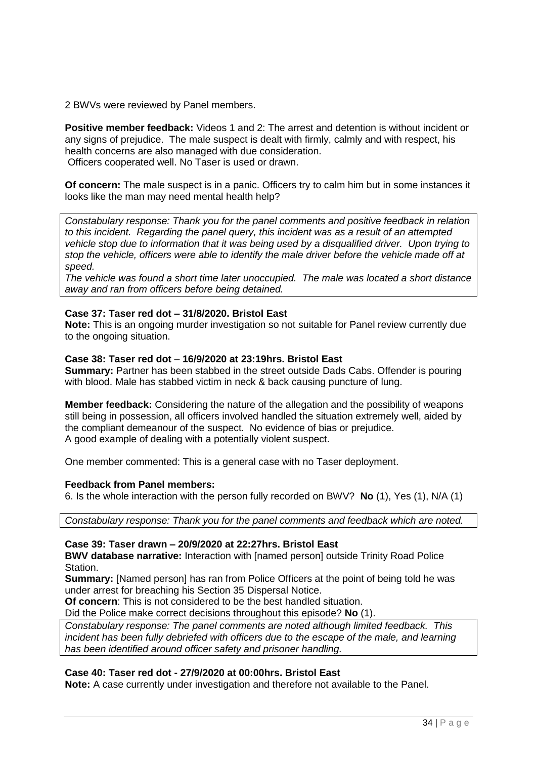2 BWVs were reviewed by Panel members.

**Positive member feedback:** Videos 1 and 2: The arrest and detention is without incident or any signs of prejudice. The male suspect is dealt with firmly, calmly and with respect, his health concerns are also managed with due consideration. Officers cooperated well. No Taser is used or drawn.

**Of concern:** The male suspect is in a panic. Officers try to calm him but in some instances it looks like the man may need mental health help?

*Constabulary response: Thank you for the panel comments and positive feedback in relation to this incident. Regarding the panel query, this incident was as a result of an attempted vehicle stop due to information that it was being used by a disqualified driver. Upon trying to stop the vehicle, officers were able to identify the male driver before the vehicle made off at speed.*

*The vehicle was found a short time later unoccupied. The male was located a short distance away and ran from officers before being detained.*

#### **Case 37: Taser red dot – 31/8/2020. Bristol East**

**Note:** This is an ongoing murder investigation so not suitable for Panel review currently due to the ongoing situation.

#### **Case 38: Taser red dot** – **16/9/2020 at 23:19hrs. Bristol East**

**Summary:** Partner has been stabbed in the street outside Dads Cabs. Offender is pouring with blood. Male has stabbed victim in neck & back causing puncture of lung.

**Member feedback:** Considering the nature of the allegation and the possibility of weapons still being in possession, all officers involved handled the situation extremely well, aided by the compliant demeanour of the suspect. No evidence of bias or prejudice. A good example of dealing with a potentially violent suspect.

One member commented: This is a general case with no Taser deployment.

#### **Feedback from Panel members:**

6. Is the whole interaction with the person fully recorded on BWV? **No** (1), Yes (1), N/A (1)

*Constabulary response: Thank you for the panel comments and feedback which are noted.*

#### **Case 39: Taser drawn – 20/9/2020 at 22:27hrs. Bristol East**

**BWV database narrative:** Interaction with [named person] outside Trinity Road Police Station.

**Summary:** [Named person] has ran from Police Officers at the point of being told he was under arrest for breaching his Section 35 Dispersal Notice.

**Of concern**: This is not considered to be the best handled situation.

Did the Police make correct decisions throughout this episode? **No** (1).

*Constabulary response: The panel comments are noted although limited feedback. This incident has been fully debriefed with officers due to the escape of the male, and learning has been identified around officer safety and prisoner handling.*

#### **Case 40: Taser red dot - 27/9/2020 at 00:00hrs. Bristol East**

**Note:** A case currently under investigation and therefore not available to the Panel.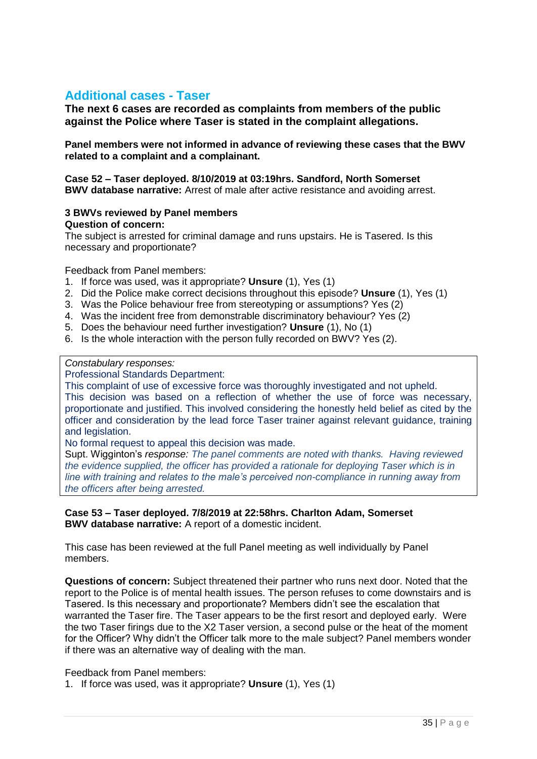## **Additional cases - Taser**

**The next 6 cases are recorded as complaints from members of the public against the Police where Taser is stated in the complaint allegations.** 

**Panel members were not informed in advance of reviewing these cases that the BWV related to a complaint and a complainant.**

**Case 52 – Taser deployed. 8/10/2019 at 03:19hrs. Sandford, North Somerset BWV database narrative:** Arrest of male after active resistance and avoiding arrest.

## **3 BWVs reviewed by Panel members**

#### **Question of concern:**

The subject is arrested for criminal damage and runs upstairs. He is Tasered. Is this necessary and proportionate?

Feedback from Panel members:

- 1. If force was used, was it appropriate? **Unsure** (1), Yes (1)
- 2. Did the Police make correct decisions throughout this episode? **Unsure** (1), Yes (1)
- 3. Was the Police behaviour free from stereotyping or assumptions? Yes (2)
- 4. Was the incident free from demonstrable discriminatory behaviour? Yes (2)
- 5. Does the behaviour need further investigation? **Unsure** (1), No (1)
- 6. Is the whole interaction with the person fully recorded on BWV? Yes (2).

#### *Constabulary responses:*

Professional Standards Department:

This complaint of use of excessive force was thoroughly investigated and not upheld. This decision was based on a reflection of whether the use of force was necessary, proportionate and justified. This involved considering the honestly held belief as cited by the officer and consideration by the lead force Taser trainer against relevant guidance, training and legislation.

No formal request to appeal this decision was made.

Supt. Wigginton's *response: The panel comments are noted with thanks. Having reviewed the evidence supplied, the officer has provided a rationale for deploying Taser which is in line with training and relates to the male's perceived non-compliance in running away from the officers after being arrested.*

**Case 53 – Taser deployed. 7/8/2019 at 22:58hrs. Charlton Adam, Somerset BWV database narrative:** A report of a domestic incident.

This case has been reviewed at the full Panel meeting as well individually by Panel members.

**Questions of concern:** Subject threatened their partner who runs next door. Noted that the report to the Police is of mental health issues. The person refuses to come downstairs and is Tasered. Is this necessary and proportionate? Members didn't see the escalation that warranted the Taser fire. The Taser appears to be the first resort and deployed early. Were the two Taser firings due to the X2 Taser version, a second pulse or the heat of the moment for the Officer? Why didn't the Officer talk more to the male subject? Panel members wonder if there was an alternative way of dealing with the man.

Feedback from Panel members:

1. If force was used, was it appropriate? **Unsure** (1), Yes (1)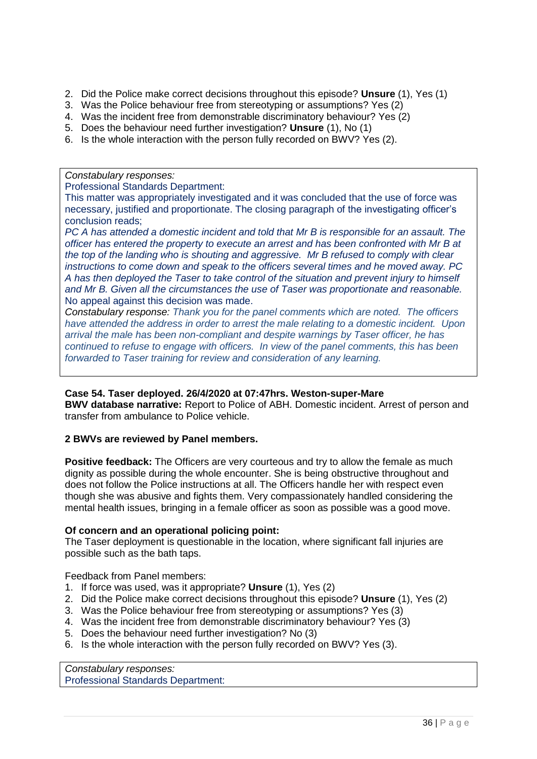- 2. Did the Police make correct decisions throughout this episode? **Unsure** (1), Yes (1)
- 3. Was the Police behaviour free from stereotyping or assumptions? Yes (2)
- 4. Was the incident free from demonstrable discriminatory behaviour? Yes (2)
- 5. Does the behaviour need further investigation? **Unsure** (1), No (1)
- 6. Is the whole interaction with the person fully recorded on BWV? Yes (2).

*Constabulary responses:*

Professional Standards Department:

This matter was appropriately investigated and it was concluded that the use of force was necessary, justified and proportionate. The closing paragraph of the investigating officer's conclusion reads;

*PC A has attended a domestic incident and told that Mr B is responsible for an assault. The officer has entered the property to execute an arrest and has been confronted with Mr B at the top of the landing who is shouting and aggressive. Mr B refused to comply with clear instructions to come down and speak to the officers several times and he moved away. PC A has then deployed the Taser to take control of the situation and prevent injury to himself and Mr B. Given all the circumstances the use of Taser was proportionate and reasonable.* No appeal against this decision was made.

*Constabulary response: Thank you for the panel comments which are noted. The officers have attended the address in order to arrest the male relating to a domestic incident. Upon arrival the male has been non-compliant and despite warnings by Taser officer, he has continued to refuse to engage with officers. In view of the panel comments, this has been forwarded to Taser training for review and consideration of any learning.*

#### **Case 54. Taser deployed. 26/4/2020 at 07:47hrs. Weston-super-Mare**

**BWV database narrative:** Report to Police of ABH. Domestic incident. Arrest of person and transfer from ambulance to Police vehicle.

#### **2 BWVs are reviewed by Panel members.**

**Positive feedback:** The Officers are very courteous and try to allow the female as much dignity as possible during the whole encounter. She is being obstructive throughout and does not follow the Police instructions at all. The Officers handle her with respect even though she was abusive and fights them. Very compassionately handled considering the mental health issues, bringing in a female officer as soon as possible was a good move.

#### **Of concern and an operational policing point:**

The Taser deployment is questionable in the location, where significant fall injuries are possible such as the bath taps.

Feedback from Panel members:

- 1. If force was used, was it appropriate? **Unsure** (1), Yes (2)
- 2. Did the Police make correct decisions throughout this episode? **Unsure** (1), Yes (2)
- 3. Was the Police behaviour free from stereotyping or assumptions? Yes (3)
- 4. Was the incident free from demonstrable discriminatory behaviour? Yes (3)
- 5. Does the behaviour need further investigation? No (3)
- 6. Is the whole interaction with the person fully recorded on BWV? Yes (3).

*Constabulary responses:* Professional Standards Department: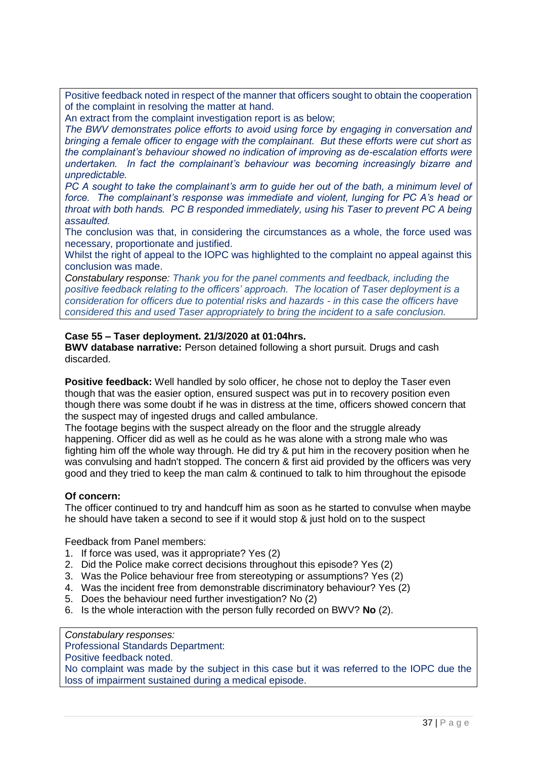Positive feedback noted in respect of the manner that officers sought to obtain the cooperation of the complaint in resolving the matter at hand.

An extract from the complaint investigation report is as below;

*The BWV demonstrates police efforts to avoid using force by engaging in conversation and bringing a female officer to engage with the complainant. But these efforts were cut short as the complainant's behaviour showed no indication of improving as de-escalation efforts were undertaken. In fact the complainant's behaviour was becoming increasingly bizarre and unpredictable.*

*PC A sought to take the complainant's arm to guide her out of the bath, a minimum level of force. The complainant's response was immediate and violent, lunging for PC A's head or throat with both hands. PC B responded immediately, using his Taser to prevent PC A being assaulted.*

The conclusion was that, in considering the circumstances as a whole, the force used was necessary, proportionate and justified.

Whilst the right of appeal to the IOPC was highlighted to the complaint no appeal against this conclusion was made.

*Constabulary response: Thank you for the panel comments and feedback, including the positive feedback relating to the officers' approach. The location of Taser deployment is a consideration for officers due to potential risks and hazards - in this case the officers have considered this and used Taser appropriately to bring the incident to a safe conclusion.*

#### **Case 55 – Taser deployment. 21/3/2020 at 01:04hrs.**

**BWV database narrative:** Person detained following a short pursuit. Drugs and cash discarded.

**Positive feedback:** Well handled by solo officer, he chose not to deploy the Taser even though that was the easier option, ensured suspect was put in to recovery position even though there was some doubt if he was in distress at the time, officers showed concern that the suspect may of ingested drugs and called ambulance.

The footage begins with the suspect already on the floor and the struggle already happening. Officer did as well as he could as he was alone with a strong male who was fighting him off the whole way through. He did try & put him in the recovery position when he was convulsing and hadn't stopped. The concern & first aid provided by the officers was very good and they tried to keep the man calm & continued to talk to him throughout the episode

#### **Of concern:**

The officer continued to try and handcuff him as soon as he started to convulse when maybe he should have taken a second to see if it would stop & just hold on to the suspect

Feedback from Panel members:

- 1. If force was used, was it appropriate? Yes (2)
- 2. Did the Police make correct decisions throughout this episode? Yes (2)
- 3. Was the Police behaviour free from stereotyping or assumptions? Yes (2)
- 4. Was the incident free from demonstrable discriminatory behaviour? Yes (2)
- 5. Does the behaviour need further investigation? No (2)
- 6. Is the whole interaction with the person fully recorded on BWV? **No** (2).

*Constabulary responses:*

Professional Standards Department:

Positive feedback noted.

No complaint was made by the subject in this case but it was referred to the IOPC due the loss of impairment sustained during a medical episode.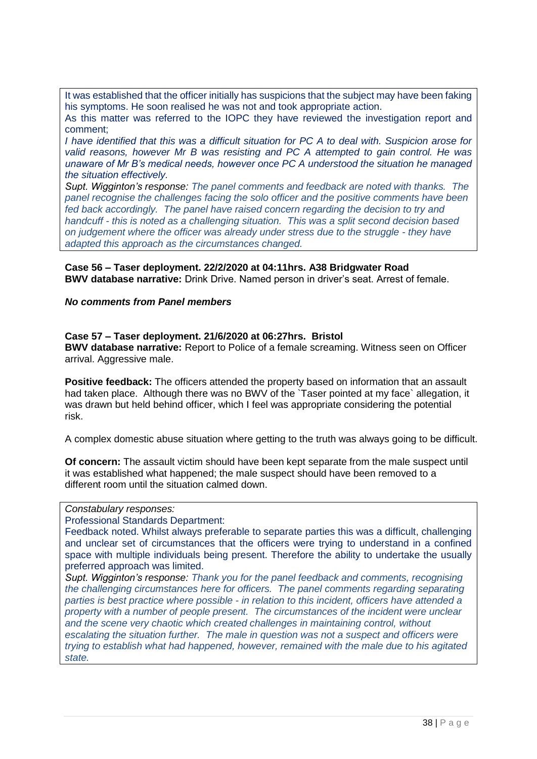It was established that the officer initially has suspicions that the subject may have been faking his symptoms. He soon realised he was not and took appropriate action.

As this matter was referred to the IOPC they have reviewed the investigation report and comment;

*I have identified that this was a difficult situation for PC A to deal with. Suspicion arose for valid reasons, however Mr B was resisting and PC A attempted to gain control. He was unaware of Mr B's medical needs, however once PC A understood the situation he managed the situation effectively.*

*Supt. Wigginton's response: The panel comments and feedback are noted with thanks. The panel recognise the challenges facing the solo officer and the positive comments have been fed back accordingly. The panel have raised concern regarding the decision to try and handcuff - this is noted as a challenging situation. This was a split second decision based on judgement where the officer was already under stress due to the struggle - they have adapted this approach as the circumstances changed.*

**Case 56 – Taser deployment. 22/2/2020 at 04:11hrs. A38 Bridgwater Road BWV database narrative:** Drink Drive. Named person in driver's seat. Arrest of female.

#### *No comments from Panel members*

#### **Case 57 – Taser deployment. 21/6/2020 at 06:27hrs. Bristol**

**BWV database narrative:** Report to Police of a female screaming. Witness seen on Officer arrival. Aggressive male.

**Positive feedback:** The officers attended the property based on information that an assault had taken place. Although there was no BWV of the `Taser pointed at my face` allegation, it was drawn but held behind officer, which I feel was appropriate considering the potential risk.

A complex domestic abuse situation where getting to the truth was always going to be difficult.

**Of concern:** The assault victim should have been kept separate from the male suspect until it was established what happened; the male suspect should have been removed to a different room until the situation calmed down.

#### *Constabulary responses:*

Professional Standards Department:

Feedback noted. Whilst always preferable to separate parties this was a difficult, challenging and unclear set of circumstances that the officers were trying to understand in a confined space with multiple individuals being present. Therefore the ability to undertake the usually preferred approach was limited.

*Supt. Wigginton's response: Thank you for the panel feedback and comments, recognising the challenging circumstances here for officers. The panel comments regarding separating parties is best practice where possible - in relation to this incident, officers have attended a property with a number of people present. The circumstances of the incident were unclear and the scene very chaotic which created challenges in maintaining control, without escalating the situation further. The male in question was not a suspect and officers were trying to establish what had happened, however, remained with the male due to his agitated state.*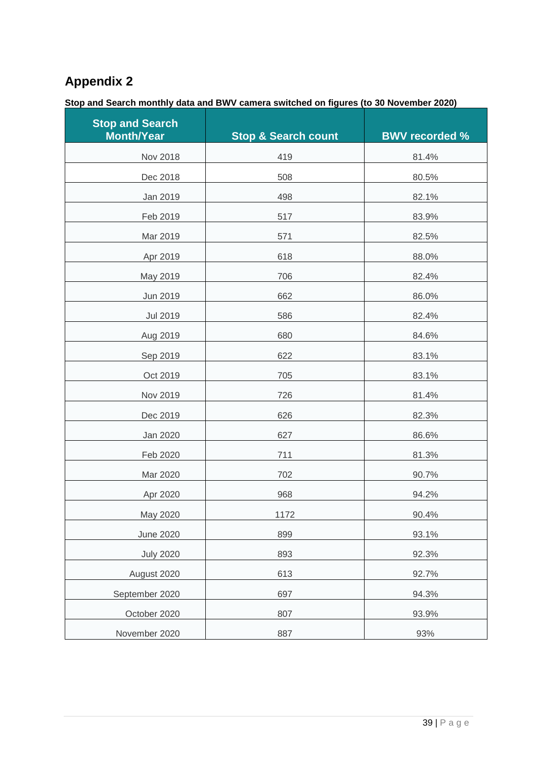## **Appendix 2**

## **Stop and Search monthly data and BWV camera switched on figures (to 30 November 2020)**

| <b>Stop and Search</b><br><b>Month/Year</b> | <b>Stop &amp; Search count</b> | <b>BWV recorded %</b> |
|---------------------------------------------|--------------------------------|-----------------------|
| Nov 2018                                    | 419                            | 81.4%                 |
| Dec 2018                                    | 508                            | 80.5%                 |
| Jan 2019                                    | 498                            | 82.1%                 |
| Feb 2019                                    | 517                            | 83.9%                 |
| Mar 2019                                    | 571                            | 82.5%                 |
| Apr 2019                                    | 618                            | 88.0%                 |
| May 2019                                    | 706                            | 82.4%                 |
| Jun 2019                                    | 662                            | 86.0%                 |
| <b>Jul 2019</b>                             | 586                            | 82.4%                 |
| Aug 2019                                    | 680                            | 84.6%                 |
| Sep 2019                                    | 622                            | 83.1%                 |
| Oct 2019                                    | 705                            | 83.1%                 |
| Nov 2019                                    | 726                            | 81.4%                 |
| Dec 2019                                    | 626                            | 82.3%                 |
| Jan 2020                                    | 627                            | 86.6%                 |
| Feb 2020                                    | 711                            | 81.3%                 |
| Mar 2020                                    | 702                            | 90.7%                 |
| Apr 2020                                    | 968                            | 94.2%                 |
| May 2020                                    | 1172                           | 90.4%                 |
| <b>June 2020</b>                            | 899                            | 93.1%                 |
| <b>July 2020</b>                            | 893                            | 92.3%                 |
| August 2020                                 | 613                            | 92.7%                 |
| September 2020                              | 697                            | 94.3%                 |
| October 2020                                | 807                            | 93.9%                 |
| November 2020                               | 887                            | 93%                   |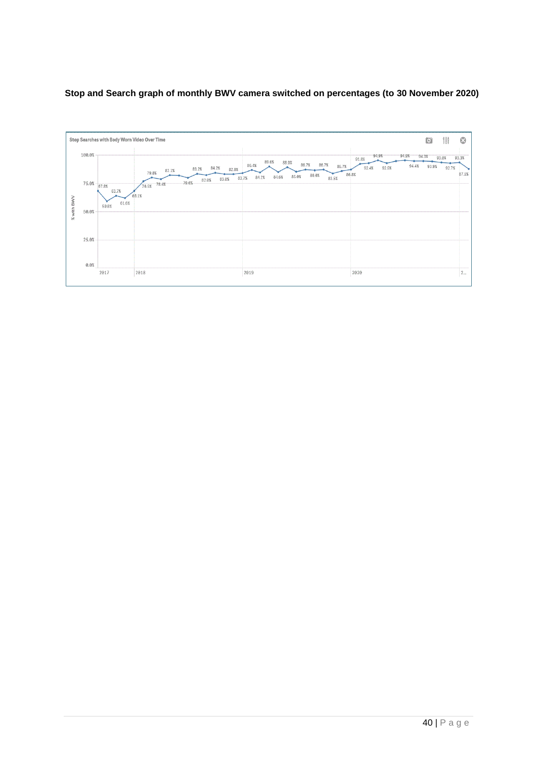#### **Stop and Search graph of monthly BWV camera switched on percentages (to 30 November 2020)**

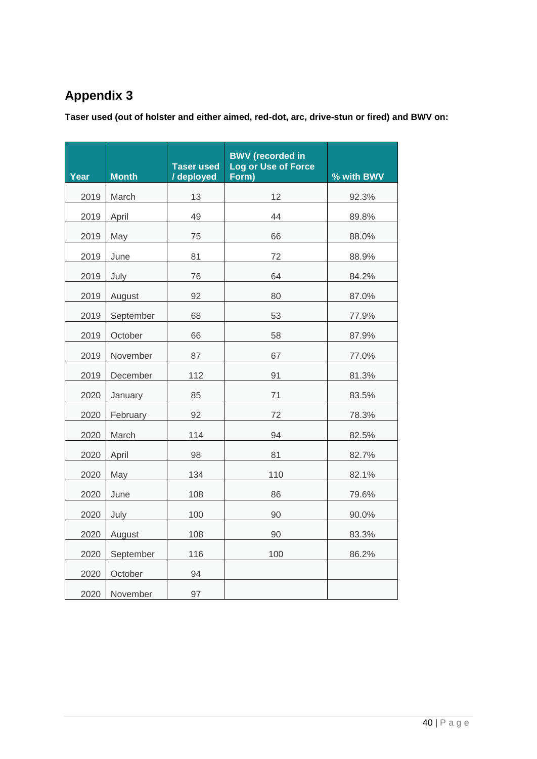## **Appendix 3**

**Taser used (out of holster and either aimed, red-dot, arc, drive-stun or fired) and BWV on:**

| Year | <b>Month</b> | <b>Taser used</b><br>/ deployed | <b>BWV</b> (recorded in<br>Log or Use of Force<br>Form) | % with BWV |
|------|--------------|---------------------------------|---------------------------------------------------------|------------|
| 2019 | March        | 13                              | 12                                                      | 92.3%      |
| 2019 | April        | 49                              | 44                                                      | 89.8%      |
| 2019 | May          | 75                              | 66                                                      | 88.0%      |
| 2019 | June         | 81                              | 72                                                      | 88.9%      |
| 2019 | July         | 76                              | 64                                                      | 84.2%      |
| 2019 | August       | 92                              | 80                                                      | 87.0%      |
| 2019 | September    | 68                              | 53                                                      | 77.9%      |
| 2019 | October      | 66                              | 58                                                      | 87.9%      |
| 2019 | November     | 87                              | 67                                                      | 77.0%      |
| 2019 | December     | 112                             | 91                                                      | 81.3%      |
| 2020 | January      | 85                              | 71                                                      | 83.5%      |
| 2020 | February     | 92                              | 72                                                      | 78.3%      |
| 2020 | March        | 114                             | 94                                                      | 82.5%      |
| 2020 | April        | 98                              | 81                                                      | 82.7%      |
| 2020 | May          | 134                             | 110                                                     | 82.1%      |
| 2020 | June         | 108                             | 86                                                      | 79.6%      |
| 2020 | July         | 100                             | 90                                                      | 90.0%      |
| 2020 | August       | 108                             | 90                                                      | 83.3%      |
| 2020 | September    | 116                             | 100                                                     | 86.2%      |
| 2020 | October      | 94                              |                                                         |            |
| 2020 | November     | 97                              |                                                         |            |